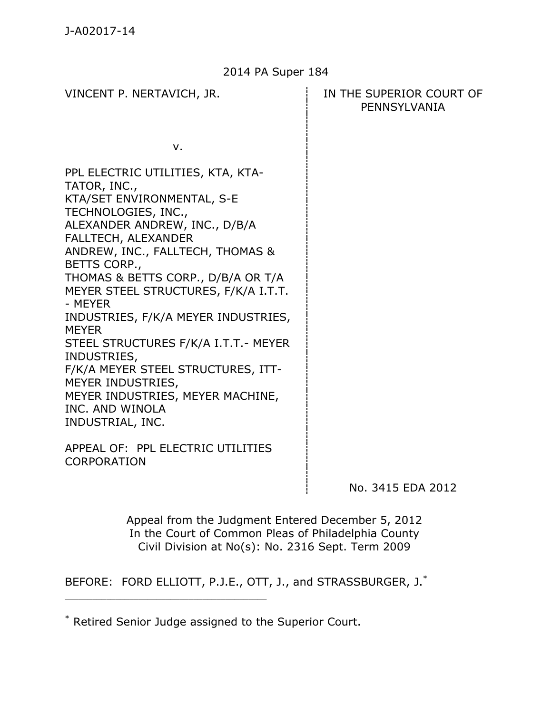#### 2014 PA Super 184

v.

PPL ELECTRIC UTILITIES, KTA, KTA-TATOR, INC., KTA/SET ENVIRONMENTAL, S-E TECHNOLOGIES, INC., ALEXANDER ANDREW, INC., D/B/A FALLTECH, ALEXANDER ANDREW, INC., FALLTECH, THOMAS & BETTS CORP., THOMAS & BETTS CORP., D/B/A OR T/A MEYER STEEL STRUCTURES, F/K/A I.T.T. - MEYER INDUSTRIES, F/K/A MEYER INDUSTRIES, MEYER STEEL STRUCTURES F/K/A I.T.T.- MEYER INDUSTRIES, F/K/A MEYER STEEL STRUCTURES, ITT-MEYER INDUSTRIES, MEYER INDUSTRIES, MEYER MACHINE, INC. AND WINOLA INDUSTRIAL, INC.

APPEAL OF: PPL ELECTRIC UTILITIES CORPORATION

\_\_\_\_\_\_\_\_\_\_\_\_\_\_\_\_\_\_\_\_\_\_\_\_\_\_\_\_\_\_\_\_\_\_\_\_\_\_\_\_\_\_\_\_

No. 3415 EDA 2012

Appeal from the Judgment Entered December 5, 2012 In the Court of Common Pleas of Philadelphia County Civil Division at No(s): No. 2316 Sept. Term 2009

BEFORE: FORD ELLIOTT, P.J.E., OTT, J., and STRASSBURGER, J.\*

# VINCENT P. NERTAVICH, JR. IN THE SUPERIOR COURT OF PENNSYLVANIA

<sup>\*</sup> Retired Senior Judge assigned to the Superior Court.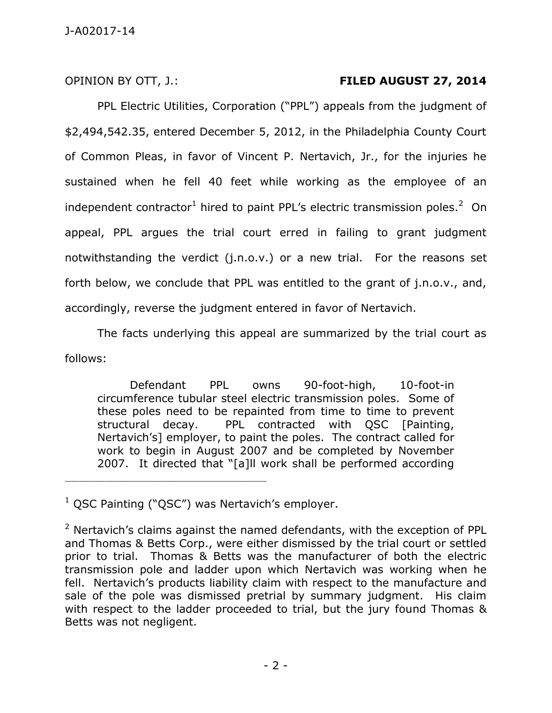# OPINION BY OTT, J.: **FILED AUGUST 27, 2014**

PPL Electric Utilities, Corporation ("PPL") appeals from the judgment of \$2,494,542.35, entered December 5, 2012, in the Philadelphia County Court of Common Pleas, in favor of Vincent P. Nertavich, Jr., for the injuries he sustained when he fell 40 feet while working as the employee of an independent contractor<sup>1</sup> hired to paint PPL's electric transmission poles.<sup>2</sup> On appeal, PPL argues the trial court erred in failing to grant judgment notwithstanding the verdict (j.n.o.v.) or a new trial. For the reasons set forth below, we conclude that PPL was entitled to the grant of j.n.o.v., and, accordingly, reverse the judgment entered in favor of Nertavich.

 The facts underlying this appeal are summarized by the trial court as follows:

Defendant PPL owns 90-foot-high, 10-foot-in circumference tubular steel electric transmission poles. Some of these poles need to be repainted from time to time to prevent structural decay. PPL contracted with QSC [Painting, Nertavich's] employer, to paint the poles. The contract called for work to begin in August 2007 and be completed by November 2007. It directed that "[a]ll work shall be performed according

 $1$  QSC Painting ("QSC") was Nertavich's employer.

 $2$  Nertavich's claims against the named defendants, with the exception of PPL and Thomas & Betts Corp., were either dismissed by the trial court or settled prior to trial. Thomas & Betts was the manufacturer of both the electric transmission pole and ladder upon which Nertavich was working when he fell. Nertavich's products liability claim with respect to the manufacture and sale of the pole was dismissed pretrial by summary judgment. His claim with respect to the ladder proceeded to trial, but the jury found Thomas & Betts was not negligent.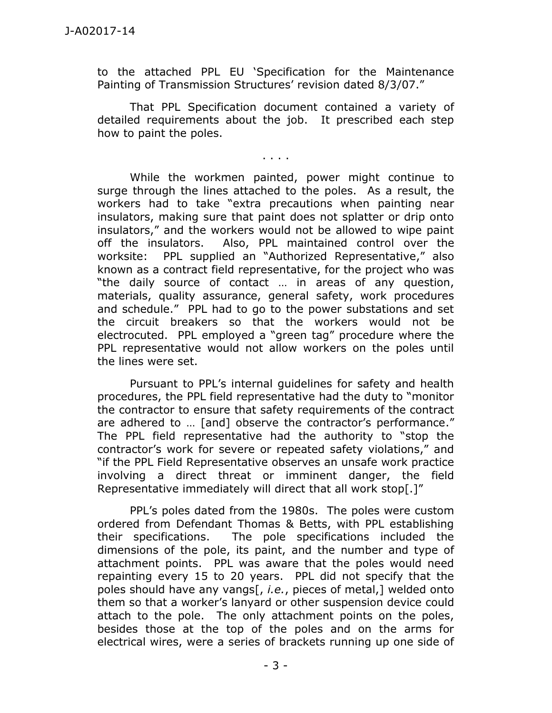to the attached PPL EU 'Specification for the Maintenance Painting of Transmission Structures' revision dated 8/3/07."

 That PPL Specification document contained a variety of detailed requirements about the job. It prescribed each step how to paint the poles.

. . . .

 While the workmen painted, power might continue to surge through the lines attached to the poles. As a result, the workers had to take "extra precautions when painting near insulators, making sure that paint does not splatter or drip onto insulators," and the workers would not be allowed to wipe paint off the insulators. Also, PPL maintained control over the worksite: PPL supplied an "Authorized Representative," also known as a contract field representative, for the project who was "the daily source of contact … in areas of any question, materials, quality assurance, general safety, work procedures and schedule." PPL had to go to the power substations and set the circuit breakers so that the workers would not be electrocuted. PPL employed a "green tag" procedure where the PPL representative would not allow workers on the poles until the lines were set.

Pursuant to PPL's internal guidelines for safety and health procedures, the PPL field representative had the duty to "monitor the contractor to ensure that safety requirements of the contract are adhered to … [and] observe the contractor's performance." The PPL field representative had the authority to "stop the contractor's work for severe or repeated safety violations," and "if the PPL Field Representative observes an unsafe work practice involving a direct threat or imminent danger, the field Representative immediately will direct that all work stop[.]"

PPL's poles dated from the 1980s. The poles were custom ordered from Defendant Thomas & Betts, with PPL establishing their specifications. The pole specifications included the dimensions of the pole, its paint, and the number and type of attachment points. PPL was aware that the poles would need repainting every 15 to 20 years. PPL did not specify that the poles should have any vangs[, *i.e.*, pieces of metal,] welded onto them so that a worker's lanyard or other suspension device could attach to the pole. The only attachment points on the poles, besides those at the top of the poles and on the arms for electrical wires, were a series of brackets running up one side of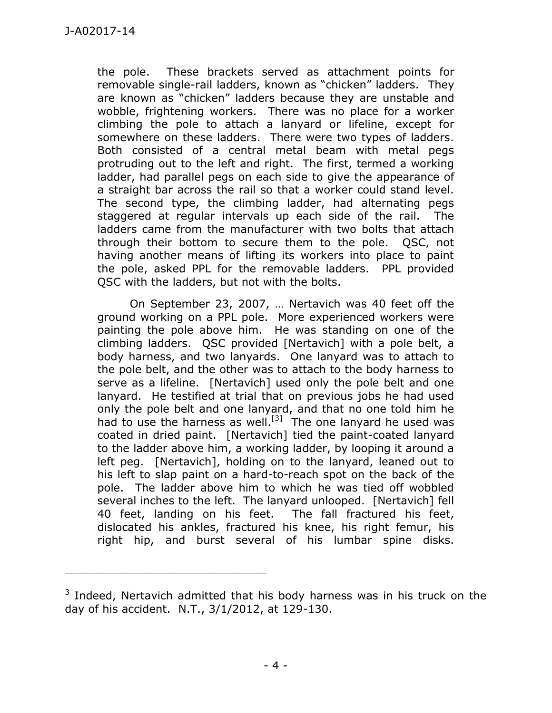the pole. These brackets served as attachment points for removable single-rail ladders, known as "chicken" ladders. They are known as "chicken" ladders because they are unstable and wobble, frightening workers. There was no place for a worker climbing the pole to attach a lanyard or lifeline, except for somewhere on these ladders. There were two types of ladders. Both consisted of a central metal beam with metal pegs protruding out to the left and right. The first, termed a working ladder, had parallel pegs on each side to give the appearance of a straight bar across the rail so that a worker could stand level. The second type, the climbing ladder, had alternating pegs staggered at regular intervals up each side of the rail. The ladders came from the manufacturer with two bolts that attach through their bottom to secure them to the pole. QSC, not having another means of lifting its workers into place to paint the pole, asked PPL for the removable ladders. PPL provided QSC with the ladders, but not with the bolts.

 On September 23, 2007, … Nertavich was 40 feet off the ground working on a PPL pole. More experienced workers were painting the pole above him. He was standing on one of the climbing ladders. QSC provided [Nertavich] with a pole belt, a body harness, and two lanyards. One lanyard was to attach to the pole belt, and the other was to attach to the body harness to serve as a lifeline. [Nertavich] used only the pole belt and one lanyard. He testified at trial that on previous jobs he had used only the pole belt and one lanyard, and that no one told him he had to use the harness as well.<sup>[3]</sup> The one lanyard he used was coated in dried paint. [Nertavich] tied the paint-coated lanyard to the ladder above him, a working ladder, by looping it around a left peg. [Nertavich], holding on to the lanyard, leaned out to his left to slap paint on a hard-to-reach spot on the back of the pole. The ladder above him to which he was tied off wobbled several inches to the left. The lanyard unlooped. [Nertavich] fell 40 feet, landing on his feet. The fall fractured his feet, dislocated his ankles, fractured his knee, his right femur, his right hip, and burst several of his lumbar spine disks.

 $3$  Indeed, Nertavich admitted that his body harness was in his truck on the day of his accident. N.T., 3/1/2012, at 129-130.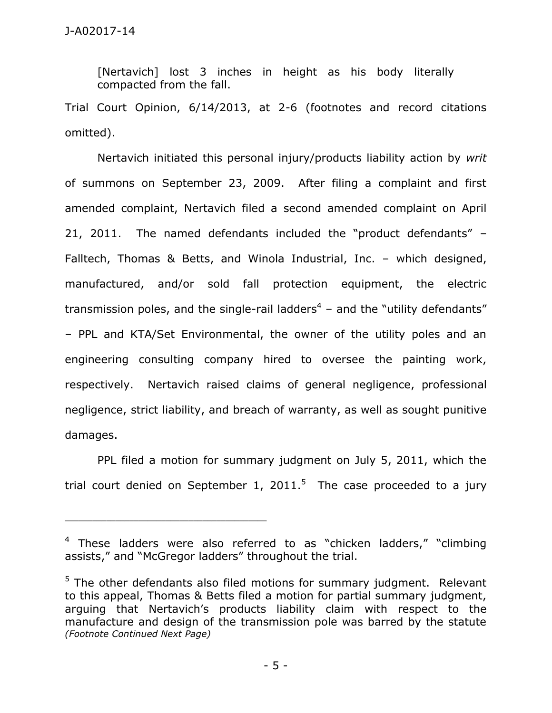[Nertavich] lost 3 inches in height as his body literally compacted from the fall.

Trial Court Opinion, 6/14/2013, at 2-6 (footnotes and record citations omitted).

 Nertavich initiated this personal injury/products liability action by *writ*  of summons on September 23, 2009. After filing a complaint and first amended complaint, Nertavich filed a second amended complaint on April 21, 2011. The named defendants included the "product defendants" – Falltech, Thomas & Betts, and Winola Industrial, Inc. – which designed, manufactured, and/or sold fall protection equipment, the electric transmission poles, and the single-rail ladders<sup>4</sup> – and the "utility defendants" – PPL and KTA/Set Environmental, the owner of the utility poles and an engineering consulting company hired to oversee the painting work, respectively. Nertavich raised claims of general negligence, professional negligence, strict liability, and breach of warranty, as well as sought punitive damages.

 PPL filed a motion for summary judgment on July 5, 2011, which the trial court denied on September 1, 2011.<sup>5</sup> The case proceeded to a jury

<sup>&</sup>lt;sup>4</sup> These ladders were also referred to as "chicken ladders," "climbing assists," and "McGregor ladders" throughout the trial.

 $5$  The other defendants also filed motions for summary judgment. Relevant to this appeal, Thomas & Betts filed a motion for partial summary judgment, arguing that Nertavich's products liability claim with respect to the manufacture and design of the transmission pole was barred by the statute *(Footnote Continued Next Page)*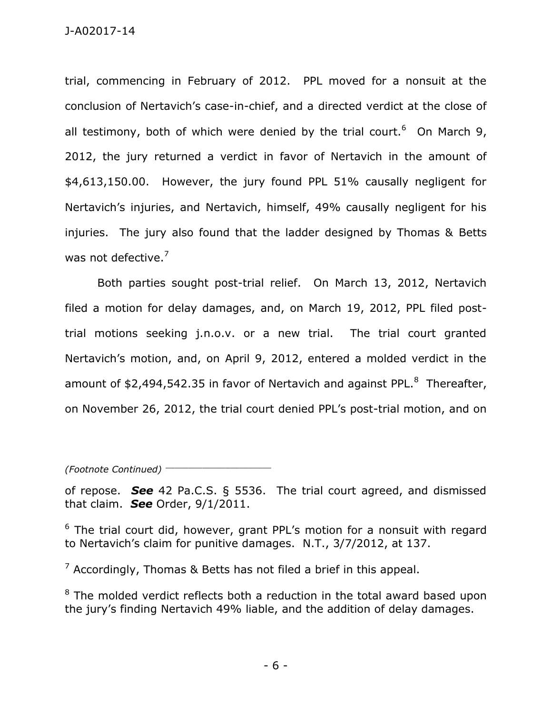trial, commencing in February of 2012. PPL moved for a nonsuit at the conclusion of Nertavich's case-in-chief, and a directed verdict at the close of all testimony, both of which were denied by the trial court.<sup>6</sup> On March 9, 2012, the jury returned a verdict in favor of Nertavich in the amount of \$4,613,150.00. However, the jury found PPL 51% causally negligent for Nertavich's injuries, and Nertavich, himself, 49% causally negligent for his injuries. The jury also found that the ladder designed by Thomas & Betts was not defective.<sup>7</sup>

 Both parties sought post-trial relief. On March 13, 2012, Nertavich filed a motion for delay damages, and, on March 19, 2012, PPL filed posttrial motions seeking j.n.o.v. or a new trial. The trial court granted Nertavich's motion, and, on April 9, 2012, entered a molded verdict in the amount of \$2,494,542.35 in favor of Nertavich and against PPL.<sup>8</sup> Thereafter, on November 26, 2012, the trial court denied PPL's post-trial motion, and on

*(Footnote Continued)* \_\_\_\_\_\_\_\_\_\_\_\_\_\_\_\_\_\_\_\_\_\_\_

of repose. *See* 42 Pa.C.S. § 5536. The trial court agreed, and dismissed that claim. *See* Order, 9/1/2011.

<sup>6</sup> The trial court did, however, grant PPL's motion for a nonsuit with regard to Nertavich's claim for punitive damages. N.T., 3/7/2012, at 137.

<sup>7</sup> Accordingly, Thomas & Betts has not filed a brief in this appeal.

 $8$  The molded verdict reflects both a reduction in the total award based upon the jury's finding Nertavich 49% liable, and the addition of delay damages.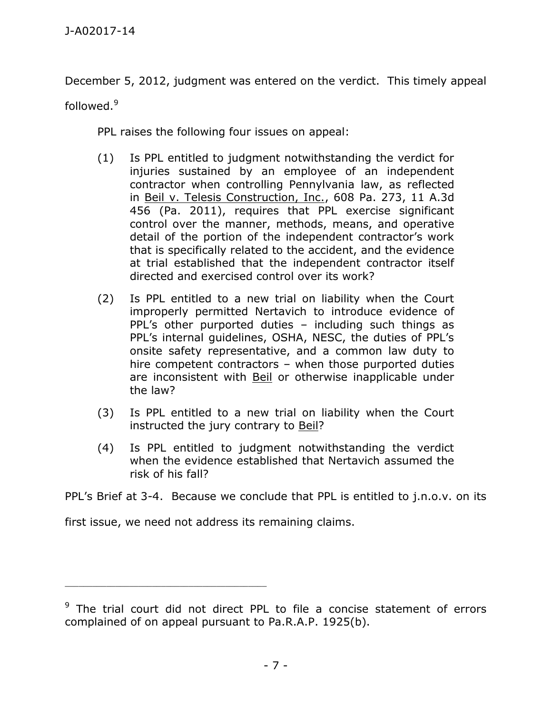December 5, 2012, judgment was entered on the verdict. This timely appeal

followed.<sup>9</sup>

PPL raises the following four issues on appeal:

- (1) Is PPL entitled to judgment notwithstanding the verdict for injuries sustained by an employee of an independent contractor when controlling Pennylvania law, as reflected in Beil v. Telesis Construction, Inc., 608 Pa. 273, 11 A.3d 456 (Pa. 2011), requires that PPL exercise significant control over the manner, methods, means, and operative detail of the portion of the independent contractor's work that is specifically related to the accident, and the evidence at trial established that the independent contractor itself directed and exercised control over its work?
- (2) Is PPL entitled to a new trial on liability when the Court improperly permitted Nertavich to introduce evidence of PPL's other purported duties – including such things as PPL's internal guidelines, OSHA, NESC, the duties of PPL's onsite safety representative, and a common law duty to hire competent contractors – when those purported duties are inconsistent with Beil or otherwise inapplicable under the law?
- (3) Is PPL entitled to a new trial on liability when the Court instructed the jury contrary to Beil?
- (4) Is PPL entitled to judgment notwithstanding the verdict when the evidence established that Nertavich assumed the risk of his fall?

PPL's Brief at 3-4. Because we conclude that PPL is entitled to j.n.o.v. on its

first issue, we need not address its remaining claims.

<sup>&</sup>lt;sup>9</sup> The trial court did not direct PPL to file a concise statement of errors complained of on appeal pursuant to Pa.R.A.P. 1925(b).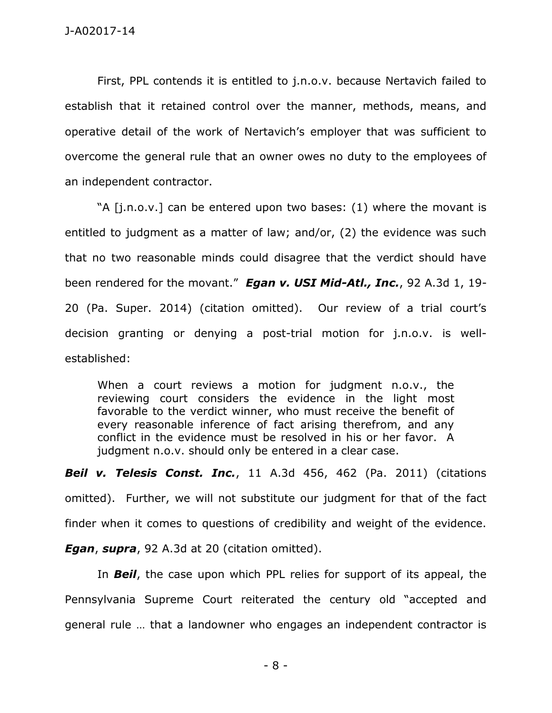First, PPL contends it is entitled to j.n.o.v. because Nertavich failed to establish that it retained control over the manner, methods, means, and operative detail of the work of Nertavich's employer that was sufficient to overcome the general rule that an owner owes no duty to the employees of an independent contractor.

"A [j.n.o.v.] can be entered upon two bases: (1) where the movant is entitled to judgment as a matter of law; and/or, (2) the evidence was such that no two reasonable minds could disagree that the verdict should have been rendered for the movant." *Egan v. USI Mid-Atl., Inc.*, 92 A.3d 1, 19- 20 (Pa. Super. 2014) (citation omitted). Our review of a trial court's decision granting or denying a post-trial motion for j.n.o.v. is wellestablished:

When a court reviews a motion for judgment n.o.v., the reviewing court considers the evidence in the light most favorable to the verdict winner, who must receive the benefit of every reasonable inference of fact arising therefrom, and any conflict in the evidence must be resolved in his or her favor. A judgment n.o.v. should only be entered in a clear case.

*Beil v. Telesis Const. Inc.*, 11 A.3d 456, 462 (Pa. 2011) (citations omitted). Further, we will not substitute our judgment for that of the fact finder when it comes to questions of credibility and weight of the evidence.

*Egan*, *supra*, 92 A.3d at 20 (citation omitted).

 In *Beil*, the case upon which PPL relies for support of its appeal, the Pennsylvania Supreme Court reiterated the century old "accepted and general rule … that a landowner who engages an independent contractor is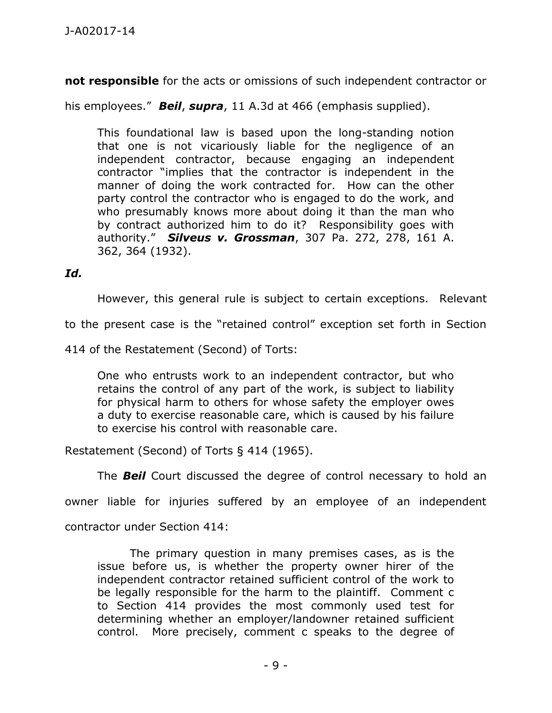**not responsible** for the acts or omissions of such independent contractor or

his employees." *Beil*, *supra*, 11 A.3d at 466 (emphasis supplied).

This foundational law is based upon the long-standing notion that one is not vicariously liable for the negligence of an independent contractor, because engaging an independent contractor "implies that the contractor is independent in the manner of doing the work contracted for. How can the other party control the contractor who is engaged to do the work, and who presumably knows more about doing it than the man who by contract authorized him to do it? Responsibility goes with authority." *Silveus v. Grossman*, 307 Pa. 272, 278, 161 A. 362, 364 (1932).

### *Id.*

However, this general rule is subject to certain exceptions. Relevant

to the present case is the "retained control" exception set forth in Section

414 of the Restatement (Second) of Torts:

One who entrusts work to an independent contractor, but who retains the control of any part of the work, is subject to liability for physical harm to others for whose safety the employer owes a duty to exercise reasonable care, which is caused by his failure to exercise his control with reasonable care.

Restatement (Second) of Torts § 414 (1965).

The *Beil* Court discussed the degree of control necessary to hold an

owner liable for injuries suffered by an employee of an independent

contractor under Section 414:

The primary question in many premises cases, as is the issue before us, is whether the property owner hirer of the independent contractor retained sufficient control of the work to be legally responsible for the harm to the plaintiff. Comment c to Section 414 provides the most commonly used test for determining whether an employer/landowner retained sufficient control. More precisely, comment c speaks to the degree of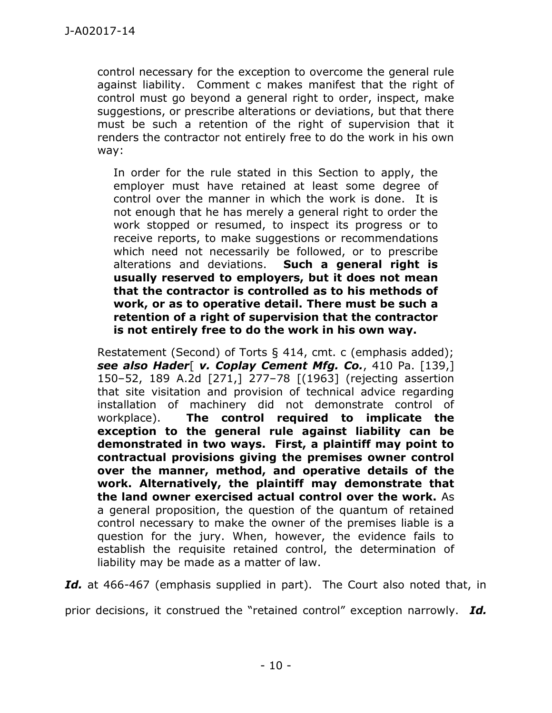control necessary for the exception to overcome the general rule against liability. Comment c makes manifest that the right of control must go beyond a general right to order, inspect, make suggestions, or prescribe alterations or deviations, but that there must be such a retention of the right of supervision that it renders the contractor not entirely free to do the work in his own way:

In order for the rule stated in this Section to apply, the employer must have retained at least some degree of control over the manner in which the work is done. It is not enough that he has merely a general right to order the work stopped or resumed, to inspect its progress or to receive reports, to make suggestions or recommendations which need not necessarily be followed, or to prescribe alterations and deviations. **Such a general right is usually reserved to employers, but it does not mean that the contractor is controlled as to his methods of work, or as to operative detail. There must be such a retention of a right of supervision that the contractor is not entirely free to do the work in his own way.**

Restatement (Second) of Torts § 414, cmt. c (emphasis added); *see also Hader*[ *v. Coplay Cement Mfg. Co.*, 410 Pa. [139,] 150–52, 189 A.2d [271,] 277–78 [(1963] (rejecting assertion that site visitation and provision of technical advice regarding installation of machinery did not demonstrate control of workplace). **The control required to implicate the exception to the general rule against liability can be demonstrated in two ways. First, a plaintiff may point to contractual provisions giving the premises owner control over the manner, method, and operative details of the work. Alternatively, the plaintiff may demonstrate that the land owner exercised actual control over the work.** As a general proposition, the question of the quantum of retained control necessary to make the owner of the premises liable is a question for the jury. When, however, the evidence fails to establish the requisite retained control, the determination of liability may be made as a matter of law.

Id. at 466-467 (emphasis supplied in part). The Court also noted that, in

prior decisions, it construed the "retained control" exception narrowly. *Id.*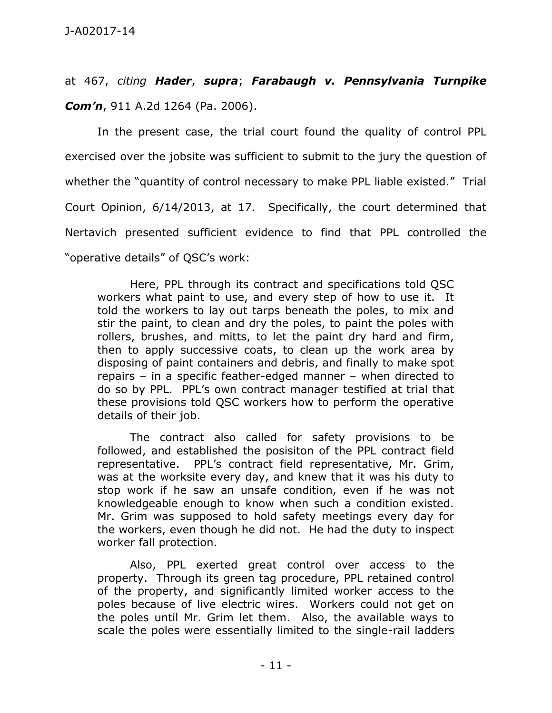at 467, *citing Hader*, *supra*; *Farabaugh v. Pennsylvania Turnpike Com'n*, 911 A.2d 1264 (Pa. 2006).

 In the present case, the trial court found the quality of control PPL exercised over the jobsite was sufficient to submit to the jury the question of whether the "quantity of control necessary to make PPL liable existed." Trial Court Opinion, 6/14/2013, at 17. Specifically, the court determined that Nertavich presented sufficient evidence to find that PPL controlled the "operative details" of QSC's work:

 Here, PPL through its contract and specifications told QSC workers what paint to use, and every step of how to use it. It told the workers to lay out tarps beneath the poles, to mix and stir the paint, to clean and dry the poles, to paint the poles with rollers, brushes, and mitts, to let the paint dry hard and firm, then to apply successive coats, to clean up the work area by disposing of paint containers and debris, and finally to make spot repairs – in a specific feather-edged manner – when directed to do so by PPL. PPL's own contract manager testified at trial that these provisions told QSC workers how to perform the operative details of their job.

 The contract also called for safety provisions to be followed, and established the posisiton of the PPL contract field representative. PPL's contract field representative, Mr. Grim, was at the worksite every day, and knew that it was his duty to stop work if he saw an unsafe condition, even if he was not knowledgeable enough to know when such a condition existed. Mr. Grim was supposed to hold safety meetings every day for the workers, even though he did not. He had the duty to inspect worker fall protection.

 Also, PPL exerted great control over access to the property. Through its green tag procedure, PPL retained control of the property, and significantly limited worker access to the poles because of live electric wires. Workers could not get on the poles until Mr. Grim let them. Also, the available ways to scale the poles were essentially limited to the single-rail ladders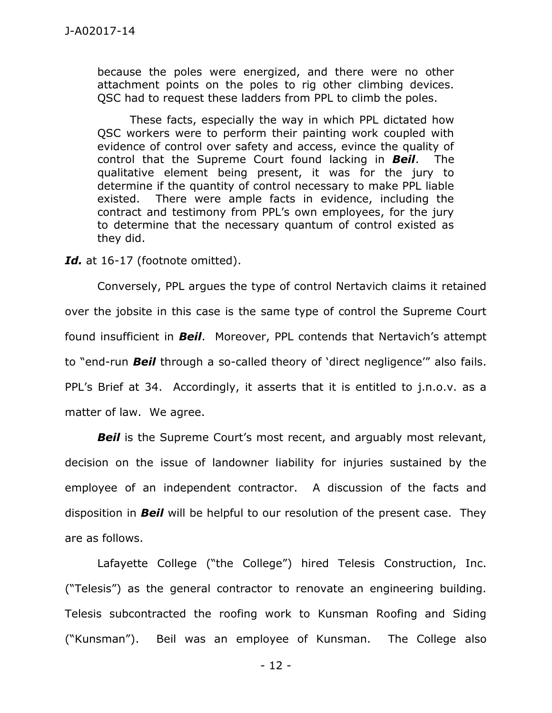because the poles were energized, and there were no other attachment points on the poles to rig other climbing devices. QSC had to request these ladders from PPL to climb the poles.

 These facts, especially the way in which PPL dictated how QSC workers were to perform their painting work coupled with evidence of control over safety and access, evince the quality of control that the Supreme Court found lacking in *Beil*. The qualitative element being present, it was for the jury to determine if the quantity of control necessary to make PPL liable existed. There were ample facts in evidence, including the contract and testimony from PPL's own employees, for the jury to determine that the necessary quantum of control existed as they did.

Id. at 16-17 (footnote omitted).

 Conversely, PPL argues the type of control Nertavich claims it retained over the jobsite in this case is the same type of control the Supreme Court found insufficient in *Beil*. Moreover, PPL contends that Nertavich's attempt to "end-run *Beil* through a so-called theory of 'direct negligence'" also fails. PPL's Brief at 34. Accordingly, it asserts that it is entitled to j.n.o.v. as a matter of law. We agree.

**Beil** is the Supreme Court's most recent, and arguably most relevant, decision on the issue of landowner liability for injuries sustained by the employee of an independent contractor. A discussion of the facts and disposition in *Beil* will be helpful to our resolution of the present case. They are as follows.

 Lafayette College ("the College") hired Telesis Construction, Inc. ("Telesis") as the general contractor to renovate an engineering building. Telesis subcontracted the roofing work to Kunsman Roofing and Siding ("Kunsman"). Beil was an employee of Kunsman. The College also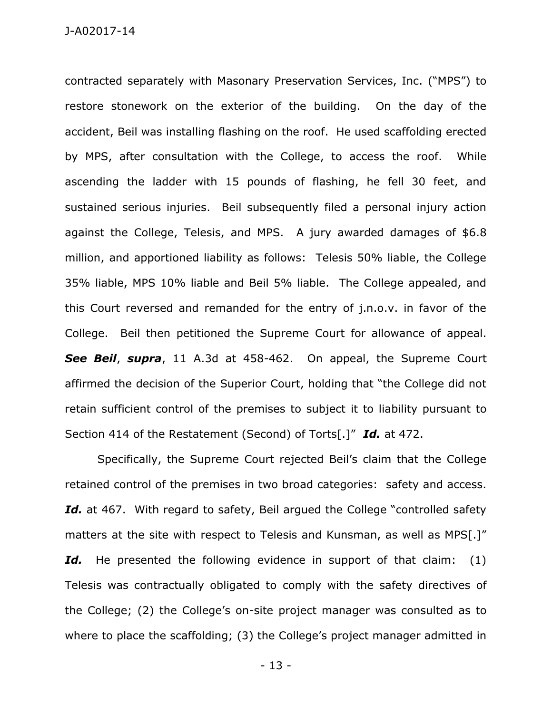contracted separately with Masonary Preservation Services, Inc. ("MPS") to restore stonework on the exterior of the building. On the day of the accident, Beil was installing flashing on the roof. He used scaffolding erected by MPS, after consultation with the College, to access the roof. While ascending the ladder with 15 pounds of flashing, he fell 30 feet, and sustained serious injuries. Beil subsequently filed a personal injury action against the College, Telesis, and MPS. A jury awarded damages of \$6.8 million, and apportioned liability as follows: Telesis 50% liable, the College 35% liable, MPS 10% liable and Beil 5% liable. The College appealed, and this Court reversed and remanded for the entry of j.n.o.v. in favor of the College. Beil then petitioned the Supreme Court for allowance of appeal. *See Beil*, *supra*, 11 A.3d at 458-462. On appeal, the Supreme Court affirmed the decision of the Superior Court, holding that "the College did not retain sufficient control of the premises to subject it to liability pursuant to Section 414 of the Restatement (Second) of Torts[.]" *Id.* at 472.

Specifically, the Supreme Court rejected Beil's claim that the College retained control of the premises in two broad categories: safety and access. Id. at 467. With regard to safety, Beil argued the College "controlled safety matters at the site with respect to Telesis and Kunsman, as well as MPS[.]" Id. He presented the following evidence in support of that claim: (1) Telesis was contractually obligated to comply with the safety directives of the College; (2) the College's on-site project manager was consulted as to where to place the scaffolding; (3) the College's project manager admitted in

- 13 -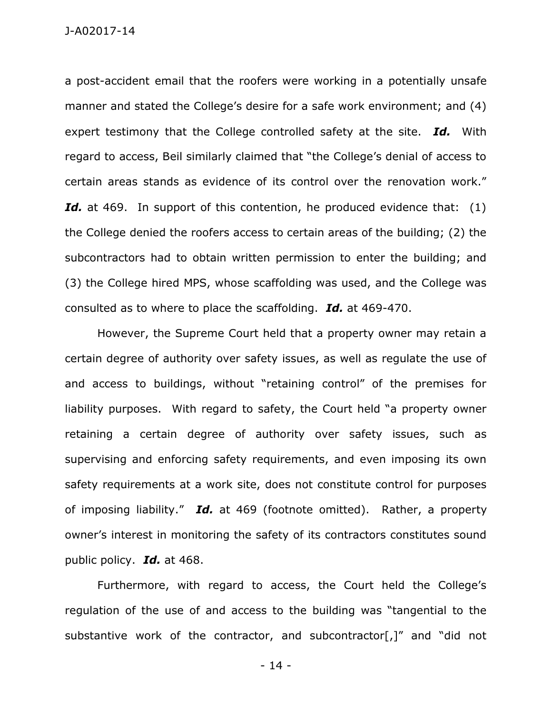J-A02017-14

a post-accident email that the roofers were working in a potentially unsafe manner and stated the College's desire for a safe work environment; and (4) expert testimony that the College controlled safety at the site. *Id.* With regard to access, Beil similarly claimed that "the College's denial of access to certain areas stands as evidence of its control over the renovation work." Id. at 469. In support of this contention, he produced evidence that: (1) the College denied the roofers access to certain areas of the building; (2) the subcontractors had to obtain written permission to enter the building; and (3) the College hired MPS, whose scaffolding was used, and the College was consulted as to where to place the scaffolding. *Id.* at 469-470.

However, the Supreme Court held that a property owner may retain a certain degree of authority over safety issues, as well as regulate the use of and access to buildings, without "retaining control" of the premises for liability purposes. With regard to safety, the Court held "a property owner retaining a certain degree of authority over safety issues, such as supervising and enforcing safety requirements, and even imposing its own safety requirements at a work site, does not constitute control for purposes of imposing liability." *Id.* at 469 (footnote omitted). Rather, a property owner's interest in monitoring the safety of its contractors constitutes sound public policy. *Id.* at 468.

Furthermore, with regard to access, the Court held the College's regulation of the use of and access to the building was "tangential to the substantive work of the contractor, and subcontractor[,]" and "did not

- 14 -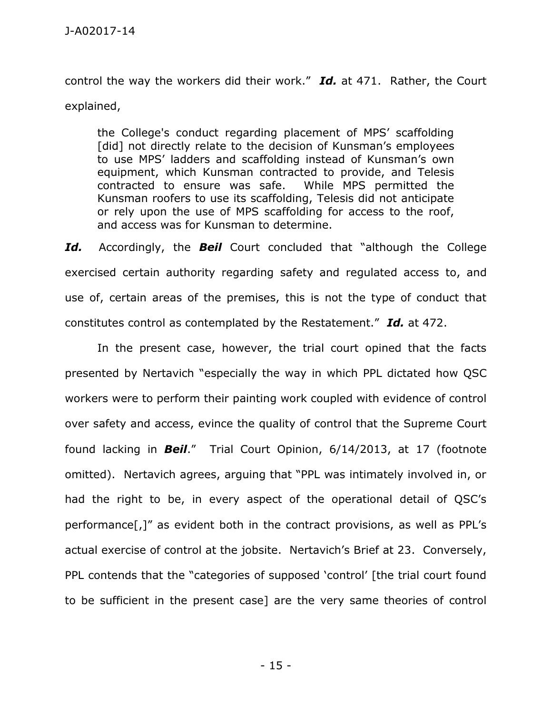control the way the workers did their work." *Id.* at 471. Rather, the Court explained,

the College's conduct regarding placement of MPS' scaffolding [did] not directly relate to the decision of Kunsman's employees to use MPS' ladders and scaffolding instead of Kunsman's own equipment, which Kunsman contracted to provide, and Telesis contracted to ensure was safe. While MPS permitted the Kunsman roofers to use its scaffolding, Telesis did not anticipate or rely upon the use of MPS scaffolding for access to the roof, and access was for Kunsman to determine.

*Id.* Accordingly, the *Beil* Court concluded that "although the College exercised certain authority regarding safety and regulated access to, and use of, certain areas of the premises, this is not the type of conduct that constitutes control as contemplated by the Restatement." *Id.* at 472.

 In the present case, however, the trial court opined that the facts presented by Nertavich "especially the way in which PPL dictated how QSC workers were to perform their painting work coupled with evidence of control over safety and access, evince the quality of control that the Supreme Court found lacking in *Beil*." Trial Court Opinion, 6/14/2013, at 17 (footnote omitted). Nertavich agrees, arguing that "PPL was intimately involved in, or had the right to be, in every aspect of the operational detail of QSC's performance[,]" as evident both in the contract provisions, as well as PPL's actual exercise of control at the jobsite. Nertavich's Brief at 23. Conversely, PPL contends that the "categories of supposed 'control' [the trial court found to be sufficient in the present case] are the very same theories of control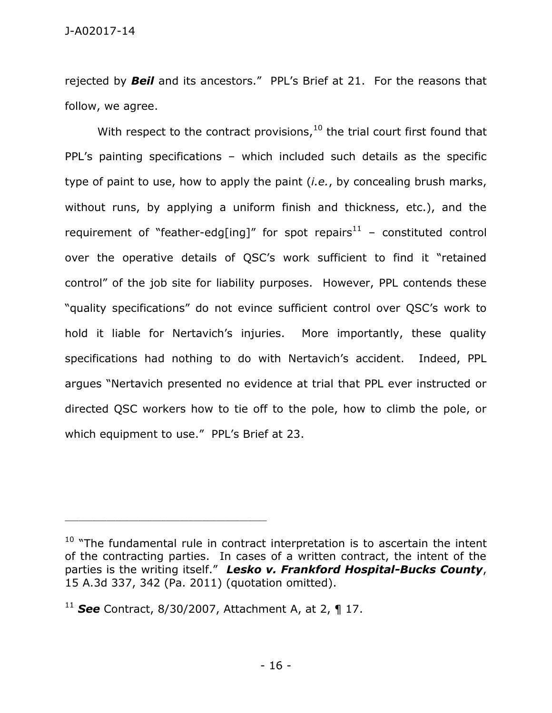rejected by *Beil* and its ancestors." PPL's Brief at 21. For the reasons that follow, we agree.

With respect to the contract provisions, $10$  the trial court first found that PPL's painting specifications – which included such details as the specific type of paint to use, how to apply the paint (*i.e.*, by concealing brush marks, without runs, by applying a uniform finish and thickness, etc.), and the requirement of "feather-edg[ing]" for spot repairs<sup>11</sup> – constituted control over the operative details of QSC's work sufficient to find it "retained control" of the job site for liability purposes. However, PPL contends these "quality specifications" do not evince sufficient control over QSC's work to hold it liable for Nertavich's injuries. More importantly, these quality specifications had nothing to do with Nertavich's accident. Indeed, PPL argues "Nertavich presented no evidence at trial that PPL ever instructed or directed QSC workers how to tie off to the pole, how to climb the pole, or which equipment to use." PPL's Brief at 23.

 $10$  "The fundamental rule in contract interpretation is to ascertain the intent of the contracting parties. In cases of a written contract, the intent of the parties is the writing itself." *Lesko v. Frankford Hospital-Bucks County*, 15 A.3d 337, 342 (Pa. 2011) (quotation omitted).

<sup>11</sup> *See* Contract, 8/30/2007, Attachment A, at 2, ¶ 17.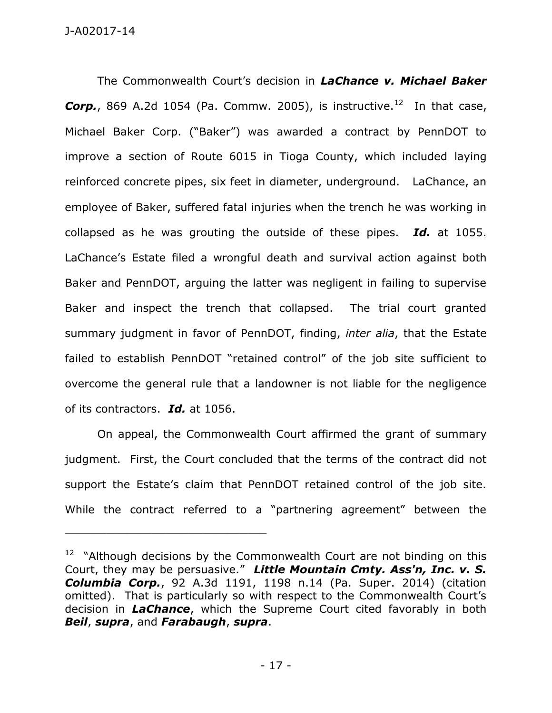The Commonwealth Court's decision in *LaChance v. Michael Baker Corp.*, 869 A.2d 1054 (Pa. Commw. 2005), is instructive.<sup>12</sup> In that case, Michael Baker Corp. ("Baker") was awarded a contract by PennDOT to improve a section of Route 6015 in Tioga County, which included laying reinforced concrete pipes, six feet in diameter, underground. LaChance, an employee of Baker, suffered fatal injuries when the trench he was working in collapsed as he was grouting the outside of these pipes. *Id.* at 1055. LaChance's Estate filed a wrongful death and survival action against both Baker and PennDOT, arguing the latter was negligent in failing to supervise Baker and inspect the trench that collapsed. The trial court granted summary judgment in favor of PennDOT, finding, *inter alia*, that the Estate failed to establish PennDOT "retained control" of the job site sufficient to overcome the general rule that a landowner is not liable for the negligence of its contractors. *Id.* at 1056.

 On appeal, the Commonwealth Court affirmed the grant of summary judgment. First, the Court concluded that the terms of the contract did not support the Estate's claim that PennDOT retained control of the job site. While the contract referred to a "partnering agreement" between the

<sup>&</sup>lt;sup>12</sup> "Although decisions by the Commonwealth Court are not binding on this Court, they may be persuasive." *Little Mountain Cmty. Ass'n, Inc. v. S. Columbia Corp.*, 92 A.3d 1191, 1198 n.14 (Pa. Super. 2014) (citation omitted). That is particularly so with respect to the Commonwealth Court's decision in *LaChance*, which the Supreme Court cited favorably in both *Beil*, *supra*, and *Farabaugh*, *supra*.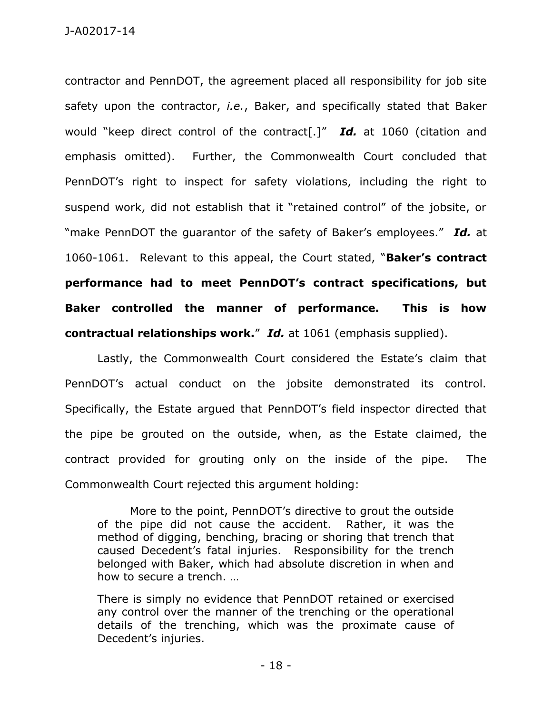contractor and PennDOT, the agreement placed all responsibility for job site safety upon the contractor, *i.e.*, Baker, and specifically stated that Baker would "keep direct control of the contract[.]" *Id.* at 1060 (citation and emphasis omitted). Further, the Commonwealth Court concluded that PennDOT's right to inspect for safety violations, including the right to suspend work, did not establish that it "retained control" of the jobsite, or "make PennDOT the guarantor of the safety of Baker's employees." *Id.* at 1060-1061. Relevant to this appeal, the Court stated, "**Baker's contract performance had to meet PennDOT's contract specifications, but Baker controlled the manner of performance. This is how contractual relationships work.**" *Id.* at 1061 (emphasis supplied).

 Lastly, the Commonwealth Court considered the Estate's claim that PennDOT's actual conduct on the jobsite demonstrated its control. Specifically, the Estate argued that PennDOT's field inspector directed that the pipe be grouted on the outside, when, as the Estate claimed, the contract provided for grouting only on the inside of the pipe. The Commonwealth Court rejected this argument holding:

More to the point, PennDOT's directive to grout the outside of the pipe did not cause the accident. Rather, it was the method of digging, benching, bracing or shoring that trench that caused Decedent's fatal injuries. Responsibility for the trench belonged with Baker, which had absolute discretion in when and how to secure a trench. …

There is simply no evidence that PennDOT retained or exercised any control over the manner of the trenching or the operational details of the trenching, which was the proximate cause of Decedent's injuries.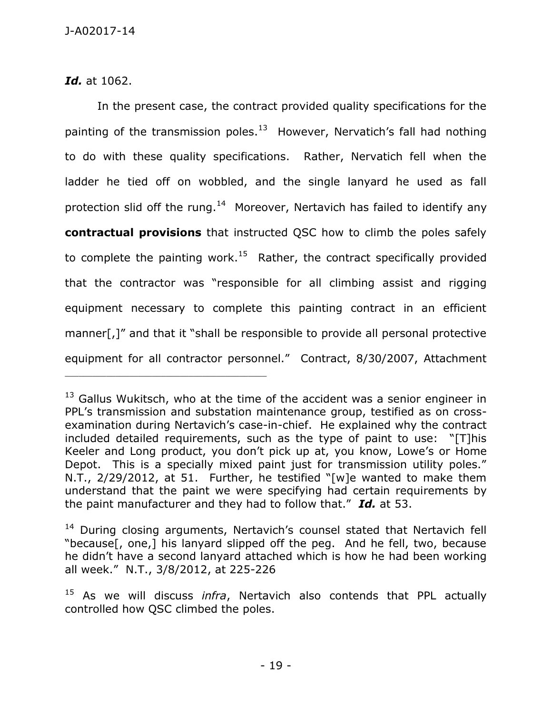*Id.* at 1062.

\_\_\_\_\_\_\_\_\_\_\_\_\_\_\_\_\_\_\_\_\_\_\_\_\_\_\_\_\_\_\_\_\_\_\_\_\_\_\_\_\_\_\_\_

 In the present case, the contract provided quality specifications for the painting of the transmission poles.<sup>13</sup> However, Nervatich's fall had nothing to do with these quality specifications. Rather, Nervatich fell when the ladder he tied off on wobbled, and the single lanyard he used as fall protection slid off the rung.<sup>14</sup> Moreover, Nertavich has failed to identify any **contractual provisions** that instructed QSC how to climb the poles safely to complete the painting work.<sup>15</sup> Rather, the contract specifically provided that the contractor was "responsible for all climbing assist and rigging equipment necessary to complete this painting contract in an efficient manner[,]" and that it "shall be responsible to provide all personal protective equipment for all contractor personnel." Contract, 8/30/2007, Attachment

 $13$  Gallus Wukitsch, who at the time of the accident was a senior engineer in PPL's transmission and substation maintenance group, testified as on crossexamination during Nertavich's case-in-chief. He explained why the contract included detailed requirements, such as the type of paint to use: "[T]his Keeler and Long product, you don't pick up at, you know, Lowe's or Home Depot. This is a specially mixed paint just for transmission utility poles." N.T., 2/29/2012, at 51. Further, he testified "[w]e wanted to make them understand that the paint we were specifying had certain requirements by the paint manufacturer and they had to follow that." *Id.* at 53.

<sup>&</sup>lt;sup>14</sup> During closing arguments, Nertavich's counsel stated that Nertavich fell "because[, one,] his lanyard slipped off the peg. And he fell, two, because he didn't have a second lanyard attached which is how he had been working all week." N.T., 3/8/2012, at 225-226

<sup>15</sup> As we will discuss *infra*, Nertavich also contends that PPL actually controlled how QSC climbed the poles.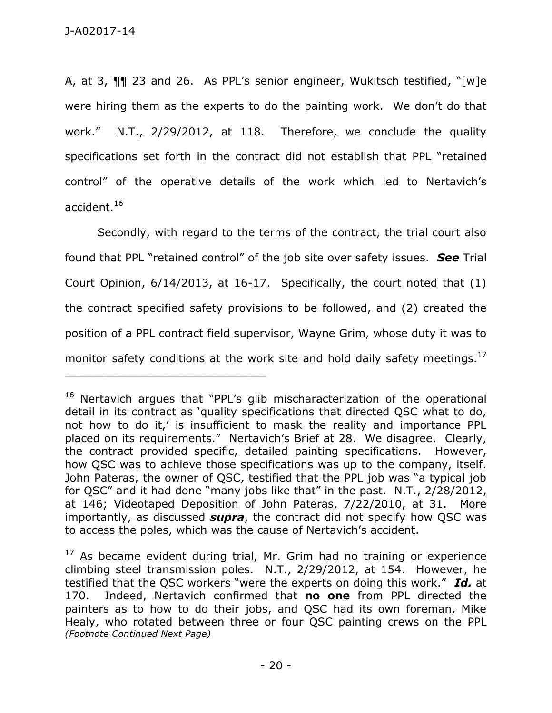A, at 3, ¶¶ 23 and 26. As PPL's senior engineer, Wukitsch testified, "[w]e were hiring them as the experts to do the painting work. We don't do that work." N.T., 2/29/2012, at 118. Therefore, we conclude the quality specifications set forth in the contract did not establish that PPL "retained control" of the operative details of the work which led to Nertavich's accident. $^{16}$ 

 Secondly, with regard to the terms of the contract, the trial court also found that PPL "retained control" of the job site over safety issues. *See* Trial Court Opinion, 6/14/2013, at 16-17. Specifically, the court noted that (1) the contract specified safety provisions to be followed, and (2) created the position of a PPL contract field supervisor, Wayne Grim, whose duty it was to monitor safety conditions at the work site and hold daily safety meetings.<sup>17</sup>

<sup>&</sup>lt;sup>16</sup> Nertavich argues that "PPL's glib mischaracterization of the operational detail in its contract as 'quality specifications that directed QSC what to do, not how to do it,' is insufficient to mask the reality and importance PPL placed on its requirements." Nertavich's Brief at 28. We disagree. Clearly, the contract provided specific, detailed painting specifications. However, how QSC was to achieve those specifications was up to the company, itself. John Pateras, the owner of QSC, testified that the PPL job was "a typical job for QSC" and it had done "many jobs like that" in the past. N.T., 2/28/2012, at 146; Videotaped Deposition of John Pateras, 7/22/2010, at 31. More importantly, as discussed *supra*, the contract did not specify how QSC was to access the poles, which was the cause of Nertavich's accident.

 $17$  As became evident during trial, Mr. Grim had no training or experience climbing steel transmission poles. N.T., 2/29/2012, at 154. However, he testified that the QSC workers "were the experts on doing this work." *Id.* at 170. Indeed, Nertavich confirmed that **no one** from PPL directed the painters as to how to do their jobs, and QSC had its own foreman, Mike Healy, who rotated between three or four QSC painting crews on the PPL *(Footnote Continued Next Page)*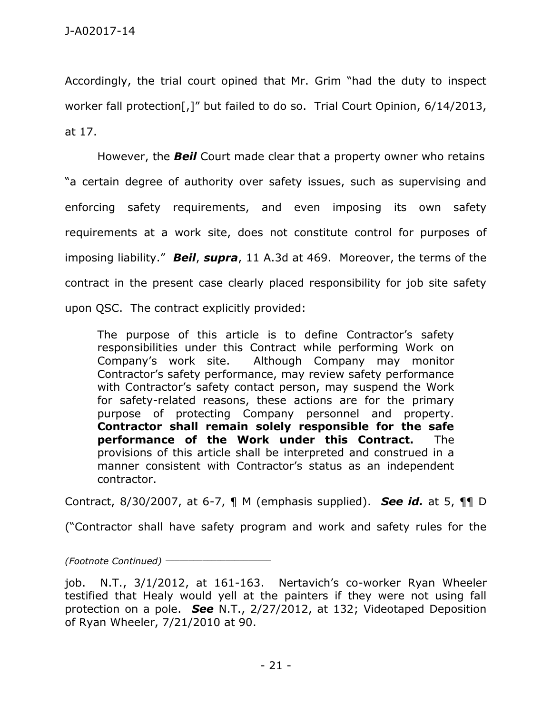Accordingly, the trial court opined that Mr. Grim "had the duty to inspect worker fall protection[,]" but failed to do so. Trial Court Opinion, 6/14/2013, at 17.

 However, the *Beil* Court made clear that a property owner who retains "a certain degree of authority over safety issues, such as supervising and enforcing safety requirements, and even imposing its own safety requirements at a work site, does not constitute control for purposes of imposing liability." *Beil*, *supra*, 11 A.3d at 469. Moreover, the terms of the contract in the present case clearly placed responsibility for job site safety upon QSC. The contract explicitly provided:

The purpose of this article is to define Contractor's safety responsibilities under this Contract while performing Work on Company's work site. Although Company may monitor Contractor's safety performance, may review safety performance with Contractor's safety contact person, may suspend the Work for safety-related reasons, these actions are for the primary purpose of protecting Company personnel and property. **Contractor shall remain solely responsible for the safe performance of the Work under this Contract.** The provisions of this article shall be interpreted and construed in a manner consistent with Contractor's status as an independent contractor.

Contract, 8/30/2007, at 6-7, ¶ M (emphasis supplied). *See id.* at 5, ¶¶ D

("Contractor shall have safety program and work and safety rules for the

*(Footnote Continued)* \_\_\_\_\_\_\_\_\_\_\_\_\_\_\_\_\_\_\_\_\_\_\_

job. N.T., 3/1/2012, at 161-163. Nertavich's co-worker Ryan Wheeler testified that Healy would yell at the painters if they were not using fall protection on a pole. *See* N.T., 2/27/2012, at 132; Videotaped Deposition of Ryan Wheeler, 7/21/2010 at 90.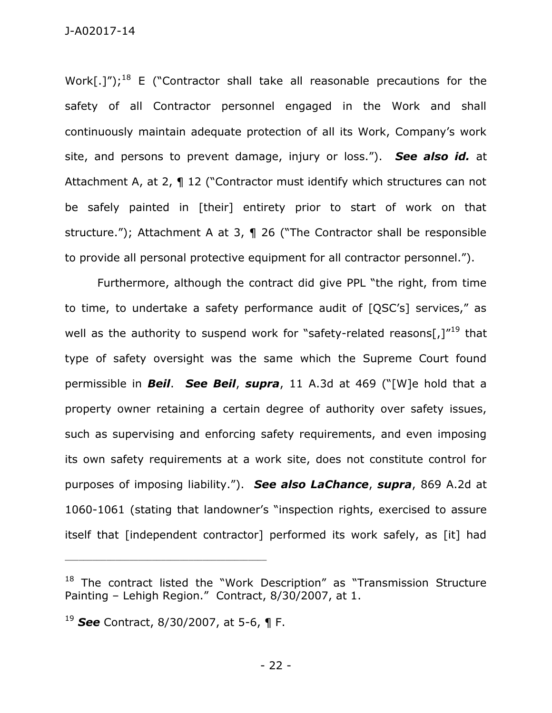Work[.]");<sup>18</sup> E ("Contractor shall take all reasonable precautions for the safety of all Contractor personnel engaged in the Work and shall continuously maintain adequate protection of all its Work, Company's work site, and persons to prevent damage, injury or loss."). *See also id.* at Attachment A, at 2, ¶ 12 ("Contractor must identify which structures can not be safely painted in [their] entirety prior to start of work on that structure."); Attachment A at 3, ¶ 26 ("The Contractor shall be responsible to provide all personal protective equipment for all contractor personnel.").

Furthermore, although the contract did give PPL "the right, from time to time, to undertake a safety performance audit of [QSC's] services," as well as the authority to suspend work for "safety-related reasons[ $J''^{19}$  that type of safety oversight was the same which the Supreme Court found permissible in *Beil*. *See Beil*, *supra*, 11 A.3d at 469 ("[W]e hold that a property owner retaining a certain degree of authority over safety issues, such as supervising and enforcing safety requirements, and even imposing its own safety requirements at a work site, does not constitute control for purposes of imposing liability."). *See also LaChance*, *supra*, 869 A.2d at 1060-1061 (stating that landowner's "inspection rights, exercised to assure itself that [independent contractor] performed its work safely, as [it] had

<sup>&</sup>lt;sup>18</sup> The contract listed the "Work Description" as "Transmission Structure Painting – Lehigh Region." Contract, 8/30/2007, at 1.

<sup>19</sup> *See* Contract, 8/30/2007, at 5-6, ¶ F.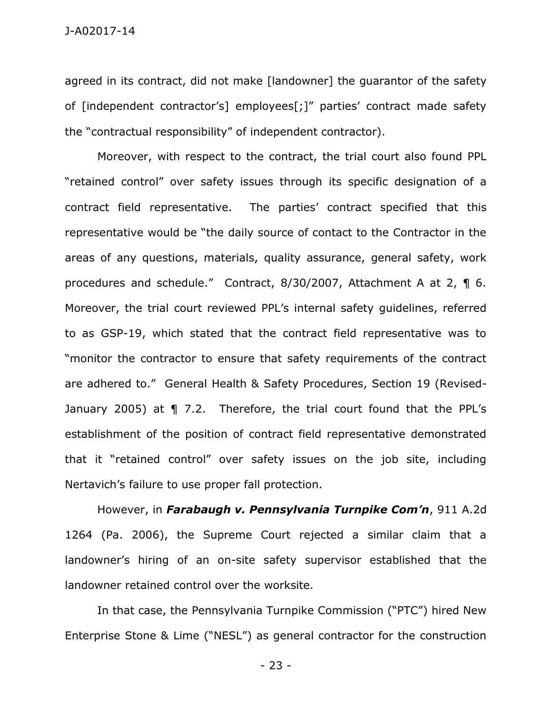agreed in its contract, did not make [landowner] the guarantor of the safety of [independent contractor's] employees[;]" parties' contract made safety the "contractual responsibility" of independent contractor).

 Moreover, with respect to the contract, the trial court also found PPL "retained control" over safety issues through its specific designation of a contract field representative. The parties' contract specified that this representative would be "the daily source of contact to the Contractor in the areas of any questions, materials, quality assurance, general safety, work procedures and schedule." Contract, 8/30/2007, Attachment A at 2, ¶ 6. Moreover, the trial court reviewed PPL's internal safety guidelines, referred to as GSP-19, which stated that the contract field representative was to "monitor the contractor to ensure that safety requirements of the contract are adhered to." General Health & Safety Procedures, Section 19 (Revised-January 2005) at ¶ 7.2. Therefore, the trial court found that the PPL's establishment of the position of contract field representative demonstrated that it "retained control" over safety issues on the job site, including Nertavich's failure to use proper fall protection.

 However, in *Farabaugh v. Pennsylvania Turnpike Com'n*, 911 A.2d 1264 (Pa. 2006), the Supreme Court rejected a similar claim that a landowner's hiring of an on-site safety supervisor established that the landowner retained control over the worksite.

In that case, the Pennsylvania Turnpike Commission ("PTC") hired New Enterprise Stone & Lime ("NESL") as general contractor for the construction

- 23 -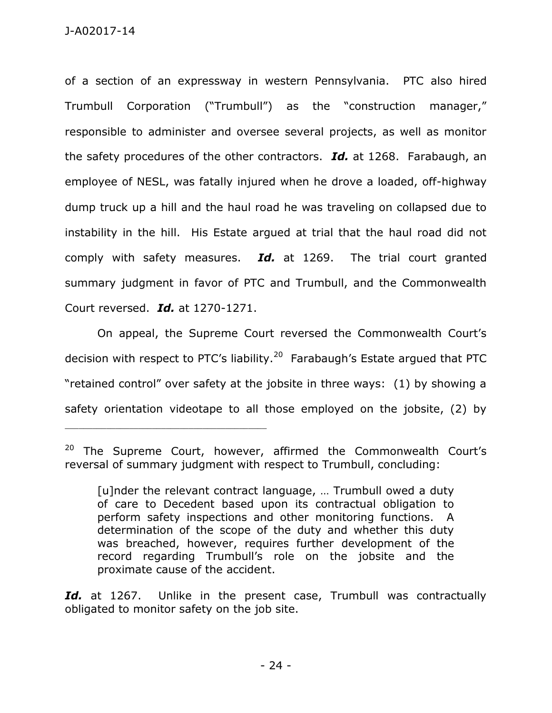of a section of an expressway in western Pennsylvania. PTC also hired Trumbull Corporation ("Trumbull") as the "construction manager," responsible to administer and oversee several projects, as well as monitor the safety procedures of the other contractors. *Id.* at 1268. Farabaugh, an employee of NESL, was fatally injured when he drove a loaded, off-highway dump truck up a hill and the haul road he was traveling on collapsed due to instability in the hill. His Estate argued at trial that the haul road did not comply with safety measures. *Id.* at 1269. The trial court granted summary judgment in favor of PTC and Trumbull, and the Commonwealth Court reversed. *Id.* at 1270-1271.

On appeal, the Supreme Court reversed the Commonwealth Court's decision with respect to PTC's liability.<sup>20</sup> Farabaugh's Estate argued that PTC "retained control" over safety at the jobsite in three ways: (1) by showing a safety orientation videotape to all those employed on the jobsite, (2) by

\_\_\_\_\_\_\_\_\_\_\_\_\_\_\_\_\_\_\_\_\_\_\_\_\_\_\_\_\_\_\_\_\_\_\_\_\_\_\_\_\_\_\_\_

Id. at 1267. Unlike in the present case, Trumbull was contractually obligated to monitor safety on the job site.

<sup>&</sup>lt;sup>20</sup> The Supreme Court, however, affirmed the Commonwealth Court's reversal of summary judgment with respect to Trumbull, concluding:

<sup>[</sup>u]nder the relevant contract language, ... Trumbull owed a duty of care to Decedent based upon its contractual obligation to perform safety inspections and other monitoring functions. A determination of the scope of the duty and whether this duty was breached, however, requires further development of the record regarding Trumbull's role on the jobsite and the proximate cause of the accident.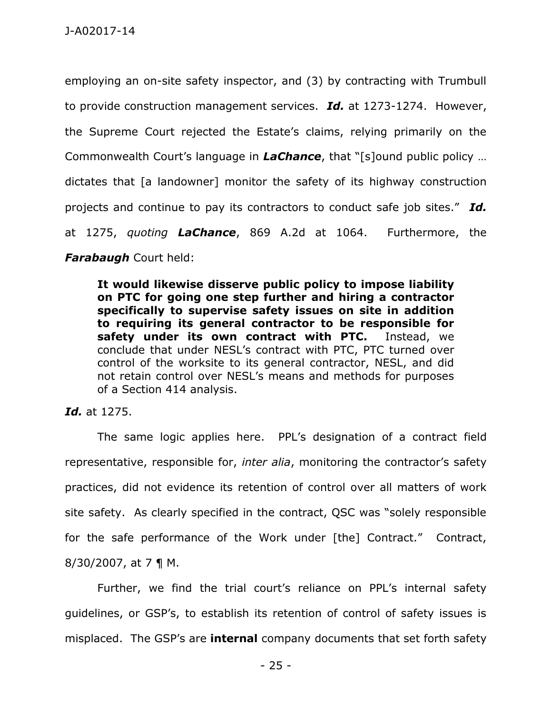employing an on-site safety inspector, and (3) by contracting with Trumbull to provide construction management services. *Id.* at 1273-1274. However, the Supreme Court rejected the Estate's claims, relying primarily on the Commonwealth Court's language in *LaChance*, that "[s]ound public policy … dictates that [a landowner] monitor the safety of its highway construction projects and continue to pay its contractors to conduct safe job sites." *Id.* at 1275, *quoting LaChance*, 869 A.2d at 1064. Furthermore, the *Farabaugh* Court held:

**It would likewise disserve public policy to impose liability on PTC for going one step further and hiring a contractor specifically to supervise safety issues on site in addition to requiring its general contractor to be responsible for safety under its own contract with PTC.** Instead, we conclude that under NESL's contract with PTC, PTC turned over control of the worksite to its general contractor, NESL, and did not retain control over NESL's means and methods for purposes of a Section 414 analysis.

#### *Id.* at 1275.

The same logic applies here. PPL's designation of a contract field representative, responsible for, *inter alia*, monitoring the contractor's safety practices, did not evidence its retention of control over all matters of work site safety. As clearly specified in the contract, QSC was "solely responsible for the safe performance of the Work under [the] Contract." Contract,  $8/30/2007$ , at 7 ¶ M.

Further, we find the trial court's reliance on PPL's internal safety guidelines, or GSP's, to establish its retention of control of safety issues is misplaced. The GSP's are **internal** company documents that set forth safety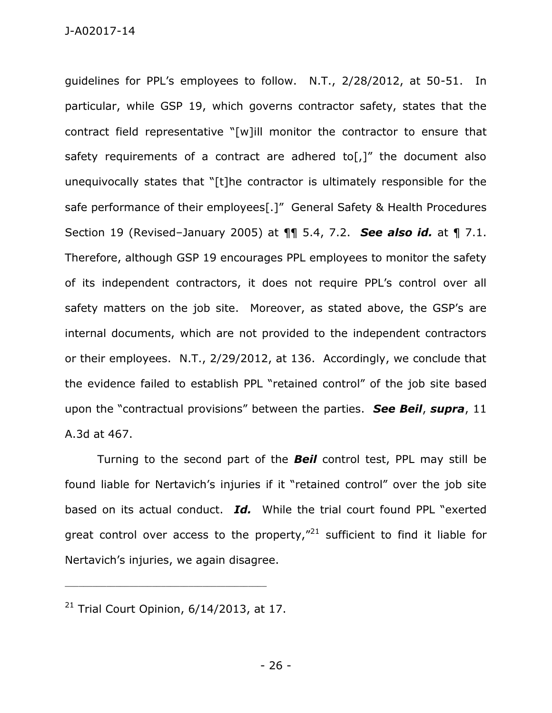guidelines for PPL's employees to follow. N.T., 2/28/2012, at 50-51. In particular, while GSP 19, which governs contractor safety, states that the contract field representative "[w]ill monitor the contractor to ensure that safety requirements of a contract are adhered to[,]" the document also unequivocally states that "[t]he contractor is ultimately responsible for the safe performance of their employees[.]" General Safety & Health Procedures Section 19 (Revised–January 2005) at ¶¶ 5.4, 7.2. *See also id.* at ¶ 7.1. Therefore, although GSP 19 encourages PPL employees to monitor the safety of its independent contractors, it does not require PPL's control over all safety matters on the job site. Moreover, as stated above, the GSP's are internal documents, which are not provided to the independent contractors or their employees. N.T., 2/29/2012, at 136. Accordingly, we conclude that the evidence failed to establish PPL "retained control" of the job site based upon the "contractual provisions" between the parties. *See Beil*, *supra*, 11 A.3d at 467.

Turning to the second part of the *Beil* control test, PPL may still be found liable for Nertavich's injuries if it "retained control" over the job site based on its actual conduct. *Id.* While the trial court found PPL "exerted great control over access to the property, $n^2$  sufficient to find it liable for Nertavich's injuries, we again disagree.

 $21$  Trial Court Opinion, 6/14/2013, at 17.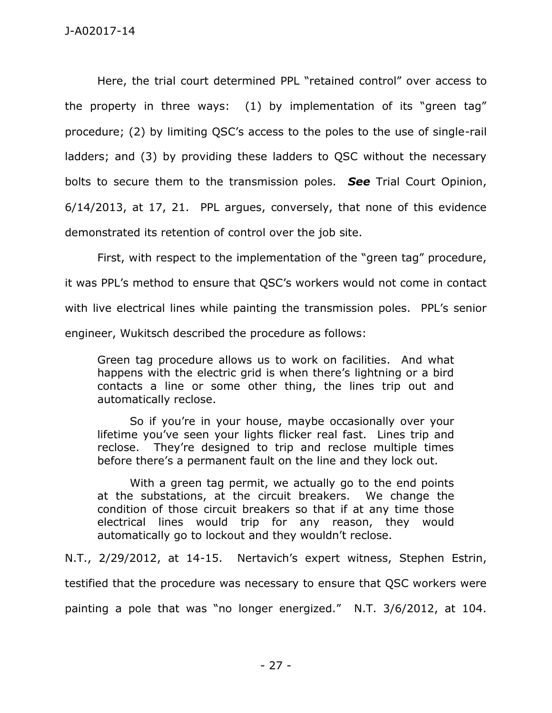Here, the trial court determined PPL "retained control" over access to the property in three ways: (1) by implementation of its "green tag" procedure; (2) by limiting QSC's access to the poles to the use of single-rail ladders; and (3) by providing these ladders to QSC without the necessary bolts to secure them to the transmission poles. *See* Trial Court Opinion, 6/14/2013, at 17, 21. PPL argues, conversely, that none of this evidence demonstrated its retention of control over the job site.

First, with respect to the implementation of the "green tag" procedure,

it was PPL's method to ensure that QSC's workers would not come in contact

with live electrical lines while painting the transmission poles. PPL's senior

engineer, Wukitsch described the procedure as follows:

Green tag procedure allows us to work on facilities. And what happens with the electric grid is when there's lightning or a bird contacts a line or some other thing, the lines trip out and automatically reclose.

So if you're in your house, maybe occasionally over your lifetime you've seen your lights flicker real fast. Lines trip and reclose. They're designed to trip and reclose multiple times before there's a permanent fault on the line and they lock out.

 With a green tag permit, we actually go to the end points at the substations, at the circuit breakers. We change the condition of those circuit breakers so that if at any time those electrical lines would trip for any reason, they would automatically go to lockout and they wouldn't reclose.

N.T., 2/29/2012, at 14-15. Nertavich's expert witness, Stephen Estrin,

testified that the procedure was necessary to ensure that QSC workers were

painting a pole that was "no longer energized." N.T. 3/6/2012, at 104.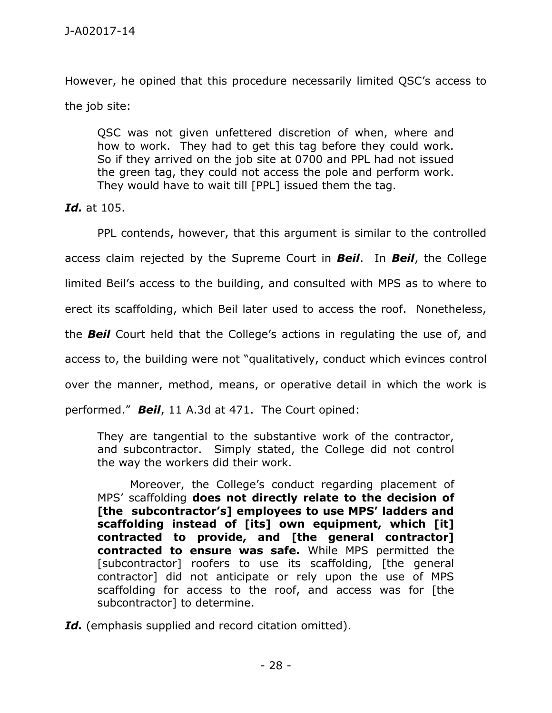However, he opined that this procedure necessarily limited QSC's access to the job site:

QSC was not given unfettered discretion of when, where and how to work. They had to get this tag before they could work. So if they arrived on the job site at 0700 and PPL had not issued the green tag, they could not access the pole and perform work. They would have to wait till [PPL] issued them the tag.

*Id.* at 105.

 PPL contends, however, that this argument is similar to the controlled access claim rejected by the Supreme Court in *Beil*. In *Beil*, the College limited Beil's access to the building, and consulted with MPS as to where to erect its scaffolding, which Beil later used to access the roof. Nonetheless, the *Beil* Court held that the College's actions in regulating the use of, and access to, the building were not "qualitatively, conduct which evinces control over the manner, method, means, or operative detail in which the work is performed." *Beil*, 11 A.3d at 471. The Court opined:

They are tangential to the substantive work of the contractor, and subcontractor. Simply stated, the College did not control the way the workers did their work.

Moreover, the College's conduct regarding placement of MPS' scaffolding **does not directly relate to the decision of [the subcontractor's] employees to use MPS' ladders and scaffolding instead of [its] own equipment, which [it] contracted to provide, and [the general contractor] contracted to ensure was safe.** While MPS permitted the [subcontractor] roofers to use its scaffolding, [the general contractor] did not anticipate or rely upon the use of MPS scaffolding for access to the roof, and access was for [the subcontractor] to determine.

*Id.* (emphasis supplied and record citation omitted).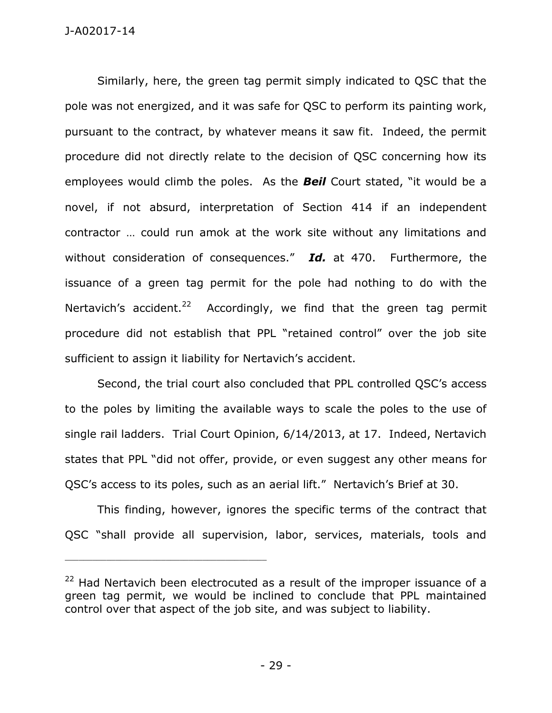Similarly, here, the green tag permit simply indicated to QSC that the pole was not energized, and it was safe for QSC to perform its painting work, pursuant to the contract, by whatever means it saw fit. Indeed, the permit procedure did not directly relate to the decision of QSC concerning how its employees would climb the poles. As the *Beil* Court stated, "it would be a novel, if not absurd, interpretation of Section 414 if an independent contractor … could run amok at the work site without any limitations and without consideration of consequences." *Id.* at 470. Furthermore, the issuance of a green tag permit for the pole had nothing to do with the Nertavich's accident.<sup>22</sup> Accordingly, we find that the green tag permit procedure did not establish that PPL "retained control" over the job site sufficient to assign it liability for Nertavich's accident.

 Second, the trial court also concluded that PPL controlled QSC's access to the poles by limiting the available ways to scale the poles to the use of single rail ladders. Trial Court Opinion, 6/14/2013, at 17. Indeed, Nertavich states that PPL "did not offer, provide, or even suggest any other means for QSC's access to its poles, such as an aerial lift." Nertavich's Brief at 30.

 This finding, however, ignores the specific terms of the contract that QSC "shall provide all supervision, labor, services, materials, tools and

 $22$  Had Nertavich been electrocuted as a result of the improper issuance of a green tag permit, we would be inclined to conclude that PPL maintained control over that aspect of the job site, and was subject to liability.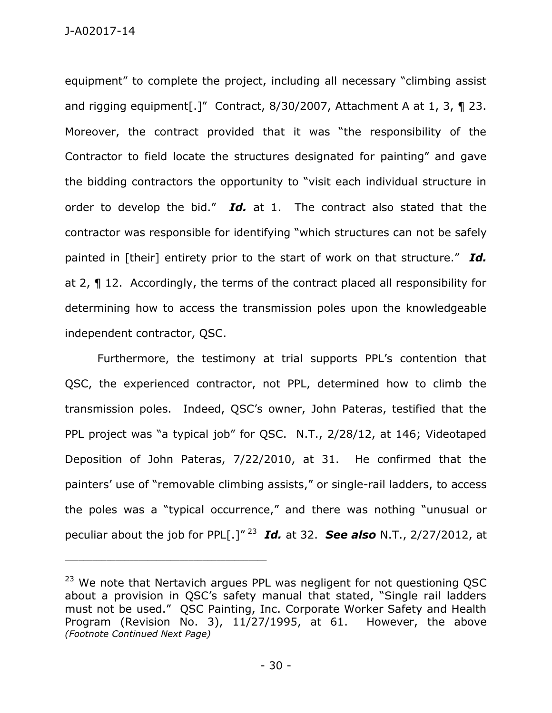equipment" to complete the project, including all necessary "climbing assist and rigging equipment[.]" Contract, 8/30/2007, Attachment A at 1, 3, ¶ 23. Moreover, the contract provided that it was "the responsibility of the Contractor to field locate the structures designated for painting" and gave the bidding contractors the opportunity to "visit each individual structure in order to develop the bid." *Id.* at 1. The contract also stated that the contractor was responsible for identifying "which structures can not be safely painted in [their] entirety prior to the start of work on that structure." *Id.* at 2, ¶ 12. Accordingly, the terms of the contract placed all responsibility for determining how to access the transmission poles upon the knowledgeable independent contractor, QSC.

Furthermore, the testimony at trial supports PPL's contention that QSC, the experienced contractor, not PPL, determined how to climb the transmission poles. Indeed, QSC's owner, John Pateras, testified that the PPL project was "a typical job" for QSC. N.T., 2/28/12, at 146; Videotaped Deposition of John Pateras, 7/22/2010, at 31. He confirmed that the painters' use of "removable climbing assists," or single-rail ladders, to access the poles was a "typical occurrence," and there was nothing "unusual or peculiar about the job for PPL[.]" <sup>23</sup> *Id.* at 32. *See also* N.T., 2/27/2012, at

 $23$  We note that Nertavich argues PPL was negligent for not questioning QSC about a provision in QSC's safety manual that stated, "Single rail ladders must not be used." QSC Painting, Inc. Corporate Worker Safety and Health Program (Revision No. 3), 11/27/1995, at 61. However, the above *(Footnote Continued Next Page)*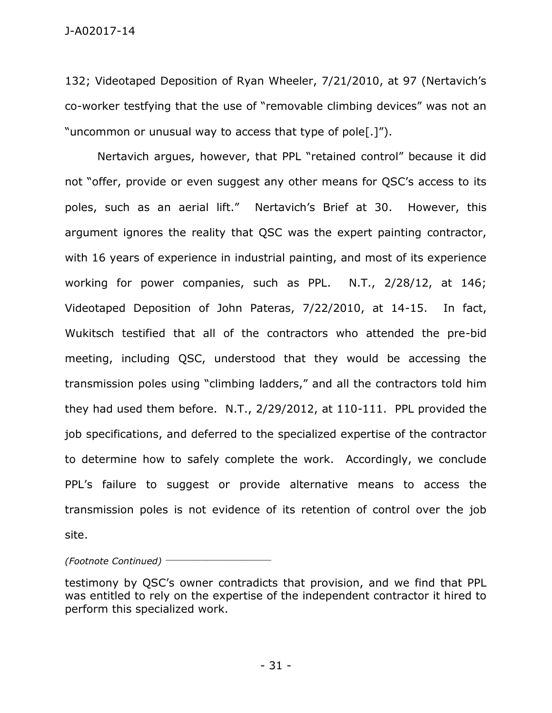132; Videotaped Deposition of Ryan Wheeler, 7/21/2010, at 97 (Nertavich's co-worker testfying that the use of "removable climbing devices" was not an "uncommon or unusual way to access that type of pole[.]").

Nertavich argues, however, that PPL "retained control" because it did not "offer, provide or even suggest any other means for QSC's access to its poles, such as an aerial lift." Nertavich's Brief at 30. However, this argument ignores the reality that QSC was the expert painting contractor, with 16 years of experience in industrial painting, and most of its experience working for power companies, such as PPL. N.T., 2/28/12, at 146; Videotaped Deposition of John Pateras, 7/22/2010, at 14-15. In fact, Wukitsch testified that all of the contractors who attended the pre-bid meeting, including QSC, understood that they would be accessing the transmission poles using "climbing ladders," and all the contractors told him they had used them before. N.T., 2/29/2012, at 110-111. PPL provided the job specifications, and deferred to the specialized expertise of the contractor to determine how to safely complete the work. Accordingly, we conclude PPL's failure to suggest or provide alternative means to access the transmission poles is not evidence of its retention of control over the job site.

*(Footnote Continued)* \_\_\_\_\_\_\_\_\_\_\_\_\_\_\_\_\_\_\_\_\_\_\_

testimony by QSC's owner contradicts that provision, and we find that PPL was entitled to rely on the expertise of the independent contractor it hired to perform this specialized work.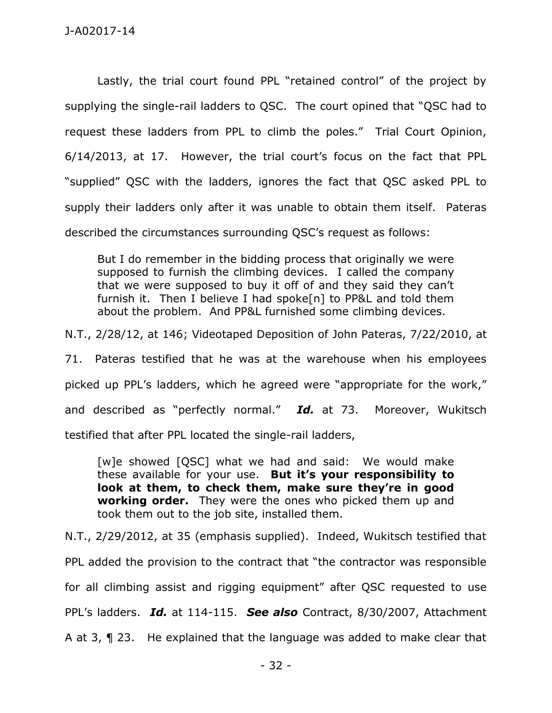Lastly, the trial court found PPL "retained control" of the project by supplying the single-rail ladders to QSC. The court opined that "QSC had to request these ladders from PPL to climb the poles." Trial Court Opinion, 6/14/2013, at 17. However, the trial court's focus on the fact that PPL "supplied" QSC with the ladders, ignores the fact that QSC asked PPL to supply their ladders only after it was unable to obtain them itself. Pateras described the circumstances surrounding QSC's request as follows:

But I do remember in the bidding process that originally we were supposed to furnish the climbing devices. I called the company that we were supposed to buy it off of and they said they can't furnish it. Then I believe I had spoke[n] to PP&L and told them about the problem. And PP&L furnished some climbing devices.

N.T., 2/28/12, at 146; Videotaped Deposition of John Pateras, 7/22/2010, at

71. Pateras testified that he was at the warehouse when his employees picked up PPL's ladders, which he agreed were "appropriate for the work," and described as "perfectly normal." *Id.* at 73. Moreover, Wukitsch testified that after PPL located the single-rail ladders,

[w]e showed [QSC] what we had and said: We would make these available for your use. **But it's your responsibility to look at them, to check them, make sure they're in good working order.** They were the ones who picked them up and took them out to the job site, installed them.

N.T., 2/29/2012, at 35 (emphasis supplied). Indeed, Wukitsch testified that PPL added the provision to the contract that "the contractor was responsible for all climbing assist and rigging equipment" after QSC requested to use PPL's ladders. *Id.* at 114-115. *See also* Contract, 8/30/2007, Attachment A at 3, ¶ 23. He explained that the language was added to make clear that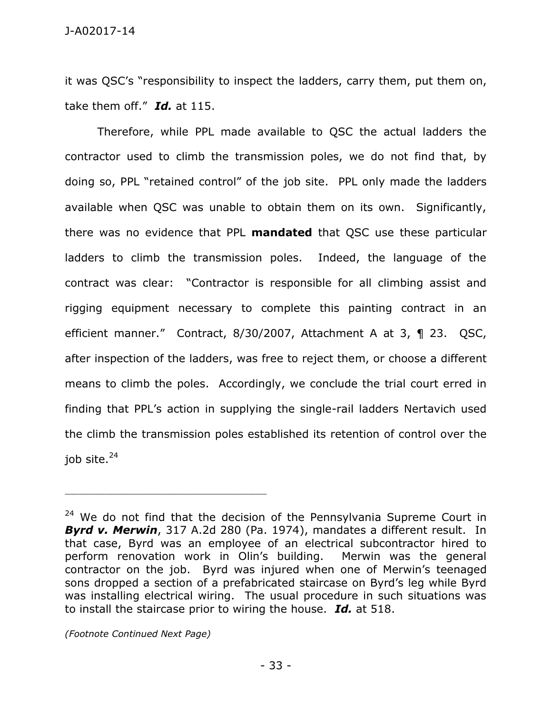it was QSC's "responsibility to inspect the ladders, carry them, put them on, take them off." *Id.* at 115.

 Therefore, while PPL made available to QSC the actual ladders the contractor used to climb the transmission poles, we do not find that, by doing so, PPL "retained control" of the job site. PPL only made the ladders available when QSC was unable to obtain them on its own. Significantly, there was no evidence that PPL **mandated** that QSC use these particular ladders to climb the transmission poles. Indeed, the language of the contract was clear: "Contractor is responsible for all climbing assist and rigging equipment necessary to complete this painting contract in an efficient manner." Contract, 8/30/2007, Attachment A at 3, ¶ 23. QSC, after inspection of the ladders, was free to reject them, or choose a different means to climb the poles. Accordingly, we conclude the trial court erred in finding that PPL's action in supplying the single-rail ladders Nertavich used the climb the transmission poles established its retention of control over the job site.<sup>24</sup>

*(Footnote Continued Next Page)* 

 $24$  We do not find that the decision of the Pennsylvania Supreme Court in *Byrd v. Merwin*, 317 A.2d 280 (Pa. 1974), mandates a different result. In that case, Byrd was an employee of an electrical subcontractor hired to perform renovation work in Olin's building. Merwin was the general contractor on the job. Byrd was injured when one of Merwin's teenaged sons dropped a section of a prefabricated staircase on Byrd's leg while Byrd was installing electrical wiring. The usual procedure in such situations was to install the staircase prior to wiring the house. *Id.* at 518.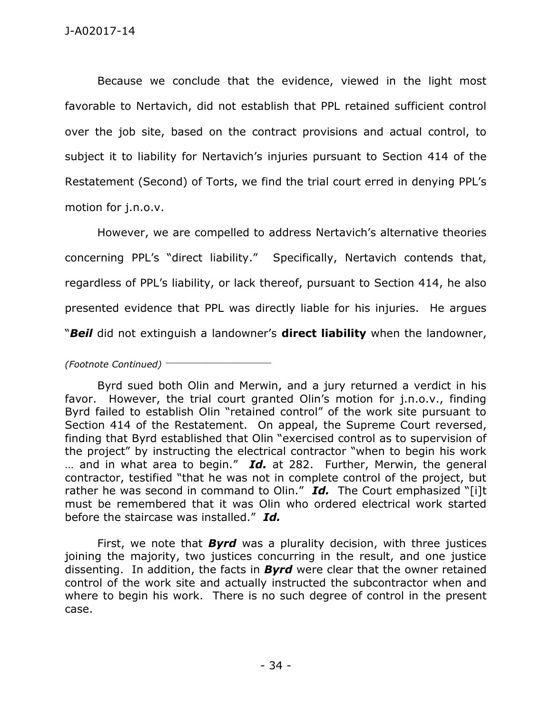Because we conclude that the evidence, viewed in the light most favorable to Nertavich, did not establish that PPL retained sufficient control over the job site, based on the contract provisions and actual control, to subject it to liability for Nertavich's injuries pursuant to Section 414 of the Restatement (Second) of Torts, we find the trial court erred in denying PPL's motion for j.n.o.v.

However, we are compelled to address Nertavich's alternative theories concerning PPL's "direct liability." Specifically, Nertavich contends that, regardless of PPL's liability, or lack thereof, pursuant to Section 414, he also presented evidence that PPL was directly liable for his injuries. He argues "*Beil* did not extinguish a landowner's **direct liability** when the landowner,

*(Footnote Continued)* \_\_\_\_\_\_\_\_\_\_\_\_\_\_\_\_\_\_\_\_\_\_\_

 First, we note that *Byrd* was a plurality decision, with three justices joining the majority, two justices concurring in the result, and one justice dissenting. In addition, the facts in *Byrd* were clear that the owner retained control of the work site and actually instructed the subcontractor when and where to begin his work. There is no such degree of control in the present case.

Byrd sued both Olin and Merwin, and a jury returned a verdict in his favor. However, the trial court granted Olin's motion for j.n.o.v., finding Byrd failed to establish Olin "retained control" of the work site pursuant to Section 414 of the Restatement. On appeal, the Supreme Court reversed, finding that Byrd established that Olin "exercised control as to supervision of the project" by instructing the electrical contractor "when to begin his work … and in what area to begin." *Id.* at 282. Further, Merwin, the general contractor, testified "that he was not in complete control of the project, but rather he was second in command to Olin." *Id.* The Court emphasized "[i]t must be remembered that it was Olin who ordered electrical work started before the staircase was installed." *Id.*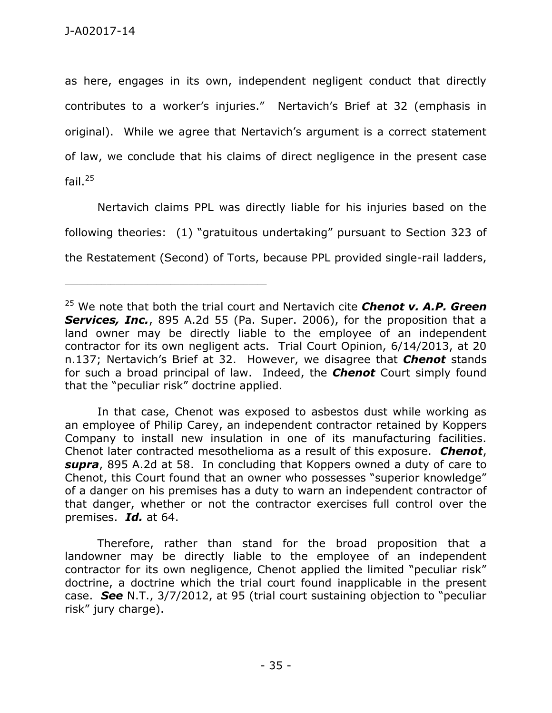\_\_\_\_\_\_\_\_\_\_\_\_\_\_\_\_\_\_\_\_\_\_\_\_\_\_\_\_\_\_\_\_\_\_\_\_\_\_\_\_\_\_\_\_

as here, engages in its own, independent negligent conduct that directly contributes to a worker's injuries." Nertavich's Brief at 32 (emphasis in original). While we agree that Nertavich's argument is a correct statement of law, we conclude that his claims of direct negligence in the present case fail. $25$ 

 Nertavich claims PPL was directly liable for his injuries based on the following theories: (1) "gratuitous undertaking" pursuant to Section 323 of the Restatement (Second) of Torts, because PPL provided single-rail ladders,

 In that case, Chenot was exposed to asbestos dust while working as an employee of Philip Carey, an independent contractor retained by Koppers Company to install new insulation in one of its manufacturing facilities. Chenot later contracted mesothelioma as a result of this exposure. *Chenot*, *supra*, 895 A.2d at 58. In concluding that Koppers owned a duty of care to Chenot, this Court found that an owner who possesses "superior knowledge" of a danger on his premises has a duty to warn an independent contractor of that danger, whether or not the contractor exercises full control over the premises. *Id.* at 64.

 Therefore, rather than stand for the broad proposition that a landowner may be directly liable to the employee of an independent contractor for its own negligence, Chenot applied the limited "peculiar risk" doctrine, a doctrine which the trial court found inapplicable in the present case. *See* N.T., 3/7/2012, at 95 (trial court sustaining objection to "peculiar risk" jury charge).

<sup>25</sup> We note that both the trial court and Nertavich cite *Chenot v. A.P. Green*  **Services, Inc.**, 895 A.2d 55 (Pa. Super. 2006), for the proposition that a land owner may be directly liable to the employee of an independent contractor for its own negligent acts. Trial Court Opinion, 6/14/2013, at 20 n.137; Nertavich's Brief at 32. However, we disagree that *Chenot* stands for such a broad principal of law. Indeed, the *Chenot* Court simply found that the "peculiar risk" doctrine applied.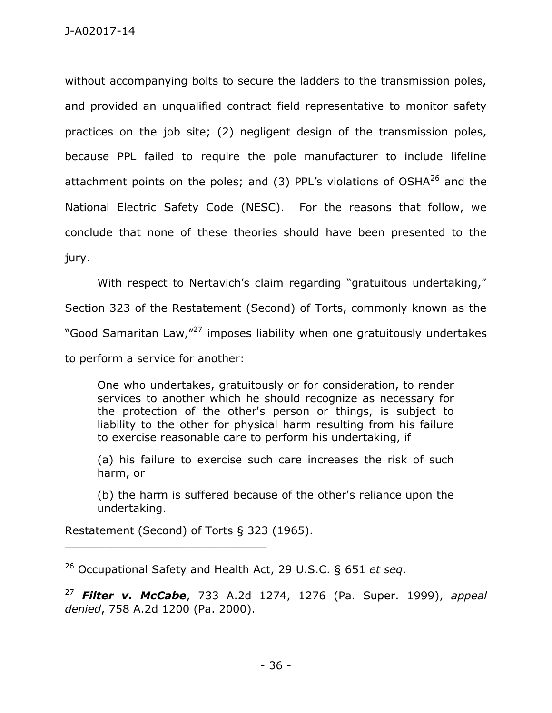without accompanying bolts to secure the ladders to the transmission poles, and provided an unqualified contract field representative to monitor safety practices on the job site; (2) negligent design of the transmission poles, because PPL failed to require the pole manufacturer to include lifeline attachment points on the poles; and  $(3)$  PPL's violations of OSHA $^{26}$  and the National Electric Safety Code (NESC). For the reasons that follow, we conclude that none of these theories should have been presented to the jury.

With respect to Nertavich's claim regarding "gratuitous undertaking,"

Section 323 of the Restatement (Second) of Torts, commonly known as the

"Good Samaritan Law,"<sup>27</sup> imposes liability when one gratuitously undertakes

to perform a service for another:

One who undertakes, gratuitously or for consideration, to render services to another which he should recognize as necessary for the protection of the other's person or things, is subject to liability to the other for physical harm resulting from his failure to exercise reasonable care to perform his undertaking, if

(a) his failure to exercise such care increases the risk of such harm, or

(b) the harm is suffered because of the other's reliance upon the undertaking.

Restatement (Second) of Torts § 323 (1965).

\_\_\_\_\_\_\_\_\_\_\_\_\_\_\_\_\_\_\_\_\_\_\_\_\_\_\_\_\_\_\_\_\_\_\_\_\_\_\_\_\_\_\_\_

<sup>26</sup> Occupational Safety and Health Act, 29 U.S.C. § 651 *et seq*.

<sup>27</sup> *Filter v. McCabe*, 733 A.2d 1274, 1276 (Pa. Super. 1999), *appeal denied*, 758 A.2d 1200 (Pa. 2000).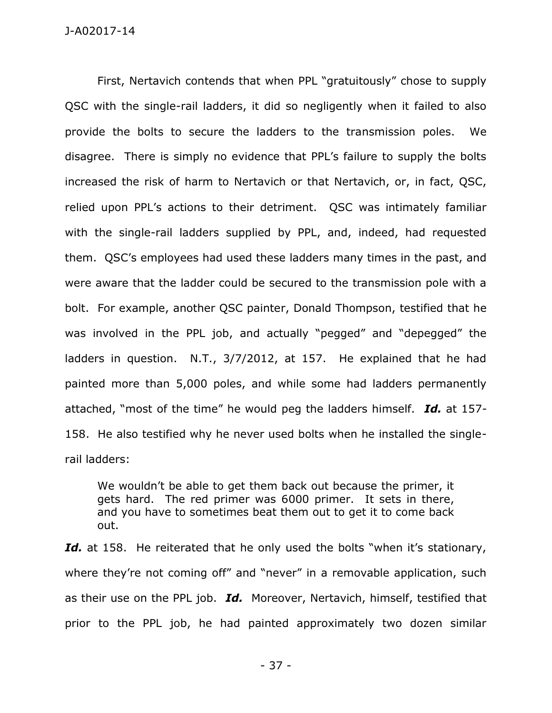First, Nertavich contends that when PPL "gratuitously" chose to supply QSC with the single-rail ladders, it did so negligently when it failed to also provide the bolts to secure the ladders to the transmission poles. We disagree. There is simply no evidence that PPL's failure to supply the bolts increased the risk of harm to Nertavich or that Nertavich, or, in fact, QSC, relied upon PPL's actions to their detriment. QSC was intimately familiar with the single-rail ladders supplied by PPL, and, indeed, had requested them. QSC's employees had used these ladders many times in the past, and were aware that the ladder could be secured to the transmission pole with a bolt. For example, another QSC painter, Donald Thompson, testified that he was involved in the PPL job, and actually "pegged" and "depegged" the ladders in question. N.T., 3/7/2012, at 157. He explained that he had painted more than 5,000 poles, and while some had ladders permanently attached, "most of the time" he would peg the ladders himself. *Id.* at 157- 158. He also testified why he never used bolts when he installed the singlerail ladders:

We wouldn't be able to get them back out because the primer, it gets hard. The red primer was 6000 primer. It sets in there, and you have to sometimes beat them out to get it to come back out.

Id. at 158. He reiterated that he only used the bolts "when it's stationary, where they're not coming off" and "never" in a removable application, such as their use on the PPL job. *Id.* Moreover, Nertavich, himself, testified that prior to the PPL job, he had painted approximately two dozen similar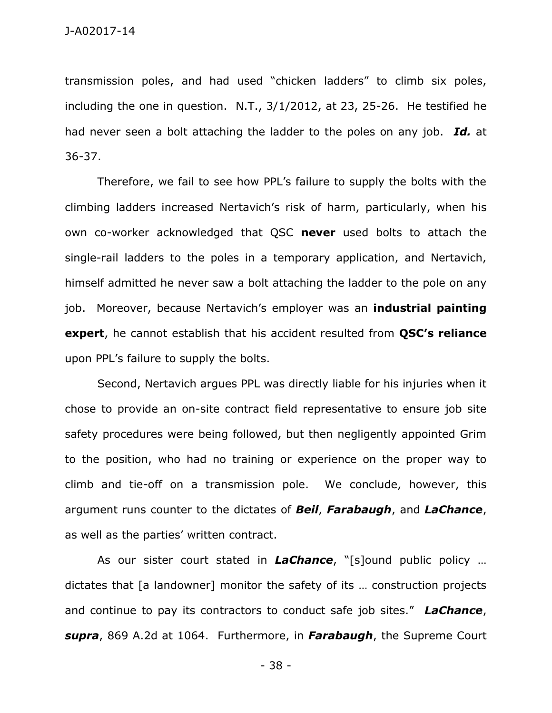transmission poles, and had used "chicken ladders" to climb six poles, including the one in question. N.T., 3/1/2012, at 23, 25-26. He testified he had never seen a bolt attaching the ladder to the poles on any job. *Id.* at 36-37.

Therefore, we fail to see how PPL's failure to supply the bolts with the climbing ladders increased Nertavich's risk of harm, particularly, when his own co-worker acknowledged that QSC **never** used bolts to attach the single-rail ladders to the poles in a temporary application, and Nertavich, himself admitted he never saw a bolt attaching the ladder to the pole on any job. Moreover, because Nertavich's employer was an **industrial painting expert**, he cannot establish that his accident resulted from **QSC's reliance** upon PPL's failure to supply the bolts.

 Second, Nertavich argues PPL was directly liable for his injuries when it chose to provide an on-site contract field representative to ensure job site safety procedures were being followed, but then negligently appointed Grim to the position, who had no training or experience on the proper way to climb and tie-off on a transmission pole. We conclude, however, this argument runs counter to the dictates of *Beil*, *Farabaugh*, and *LaChance*, as well as the parties' written contract.

 As our sister court stated in *LaChance*, "[s]ound public policy … dictates that [a landowner] monitor the safety of its … construction projects and continue to pay its contractors to conduct safe job sites." *LaChance*, *supra*, 869 A.2d at 1064. Furthermore, in *Farabaugh*, the Supreme Court

- 38 -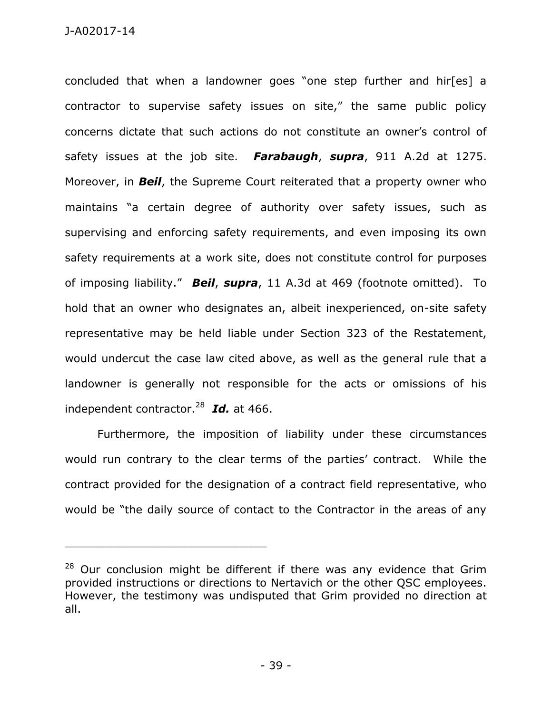concluded that when a landowner goes "one step further and hir[es] a contractor to supervise safety issues on site," the same public policy concerns dictate that such actions do not constitute an owner's control of safety issues at the job site. *Farabaugh*, *supra*, 911 A.2d at 1275. Moreover, in *Beil*, the Supreme Court reiterated that a property owner who maintains "a certain degree of authority over safety issues, such as supervising and enforcing safety requirements, and even imposing its own safety requirements at a work site, does not constitute control for purposes of imposing liability." *Beil*, *supra*, 11 A.3d at 469 (footnote omitted). To hold that an owner who designates an, albeit inexperienced, on-site safety representative may be held liable under Section 323 of the Restatement, would undercut the case law cited above, as well as the general rule that a landowner is generally not responsible for the acts or omissions of his independent contractor.<sup>28</sup> *Id.* at 466.

Furthermore, the imposition of liability under these circumstances would run contrary to the clear terms of the parties' contract. While the contract provided for the designation of a contract field representative, who would be "the daily source of contact to the Contractor in the areas of any

 $28$  Our conclusion might be different if there was any evidence that Grim provided instructions or directions to Nertavich or the other QSC employees. However, the testimony was undisputed that Grim provided no direction at all.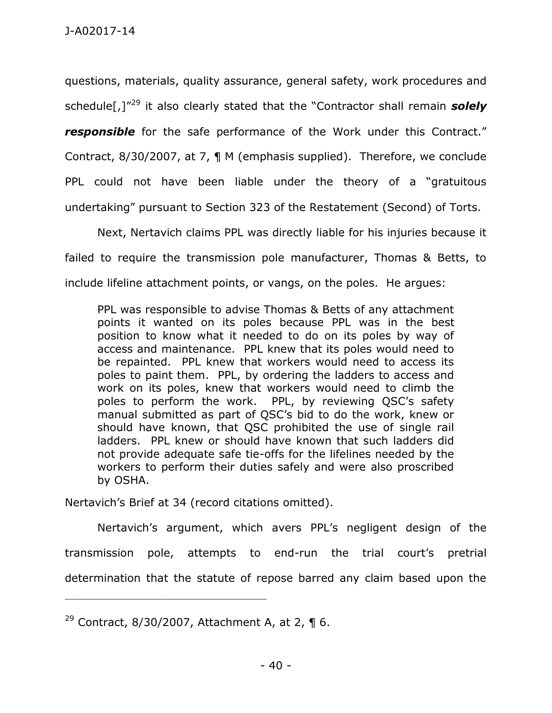questions, materials, quality assurance, general safety, work procedures and schedule[,]"<sup>29</sup> it also clearly stated that the "Contractor shall remain *solely responsible* for the safe performance of the Work under this Contract." Contract, 8/30/2007, at 7, ¶ M (emphasis supplied). Therefore, we conclude PPL could not have been liable under the theory of a "gratuitous undertaking" pursuant to Section 323 of the Restatement (Second) of Torts.

Next, Nertavich claims PPL was directly liable for his injuries because it failed to require the transmission pole manufacturer, Thomas & Betts, to include lifeline attachment points, or vangs, on the poles. He argues:

PPL was responsible to advise Thomas & Betts of any attachment points it wanted on its poles because PPL was in the best position to know what it needed to do on its poles by way of access and maintenance. PPL knew that its poles would need to be repainted. PPL knew that workers would need to access its poles to paint them. PPL, by ordering the ladders to access and work on its poles, knew that workers would need to climb the poles to perform the work. PPL, by reviewing QSC's safety manual submitted as part of QSC's bid to do the work, knew or should have known, that QSC prohibited the use of single rail ladders. PPL knew or should have known that such ladders did not provide adequate safe tie-offs for the lifelines needed by the workers to perform their duties safely and were also proscribed by OSHA.

Nertavich's Brief at 34 (record citations omitted).

Nertavich's argument, which avers PPL's negligent design of the transmission pole, attempts to end-run the trial court's pretrial determination that the statute of repose barred any claim based upon the

<sup>&</sup>lt;sup>29</sup> Contract, 8/30/2007, Attachment A, at 2,  $\P$  6.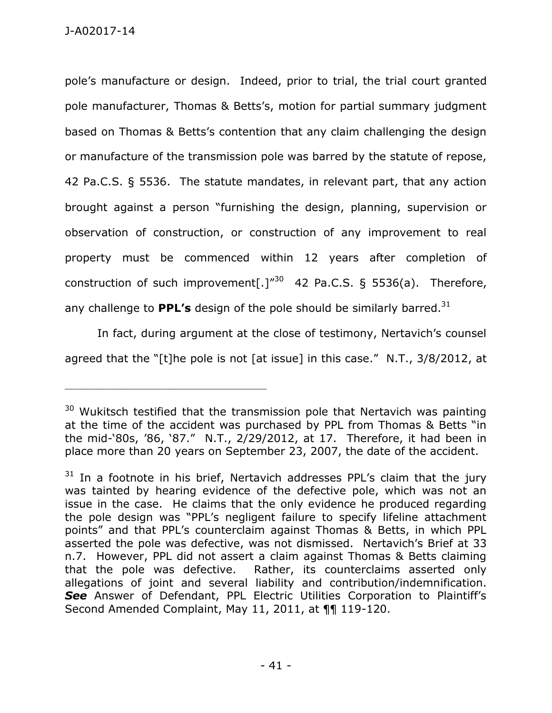pole's manufacture or design. Indeed, prior to trial, the trial court granted pole manufacturer, Thomas & Betts's, motion for partial summary judgment based on Thomas & Betts's contention that any claim challenging the design or manufacture of the transmission pole was barred by the statute of repose, 42 Pa.C.S. § 5536. The statute mandates, in relevant part, that any action brought against a person "furnishing the design, planning, supervision or observation of construction, or construction of any improvement to real property must be commenced within 12 years after completion of construction of such improvement[.] $^{\prime\prime 30}$  42 Pa.C.S. § 5536(a). Therefore, any challenge to **PPL's** design of the pole should be similarly barred.<sup>31</sup>

In fact, during argument at the close of testimony, Nertavich's counsel agreed that the "[t]he pole is not [at issue] in this case." N.T., 3/8/2012, at

 $30$  Wukitsch testified that the transmission pole that Nertavich was painting at the time of the accident was purchased by PPL from Thomas & Betts "in the mid-'80s, '86, '87." N.T., 2/29/2012, at 17. Therefore, it had been in place more than 20 years on September 23, 2007, the date of the accident.

 $31$  In a footnote in his brief, Nertavich addresses PPL's claim that the jury was tainted by hearing evidence of the defective pole, which was not an issue in the case. He claims that the only evidence he produced regarding the pole design was "PPL's negligent failure to specify lifeline attachment points" and that PPL's counterclaim against Thomas & Betts, in which PPL asserted the pole was defective, was not dismissed. Nertavich's Brief at 33 n.7. However, PPL did not assert a claim against Thomas & Betts claiming that the pole was defective. Rather, its counterclaims asserted only allegations of joint and several liability and contribution/indemnification. *See* Answer of Defendant, PPL Electric Utilities Corporation to Plaintiff's Second Amended Complaint, May 11, 2011, at 11 119-120.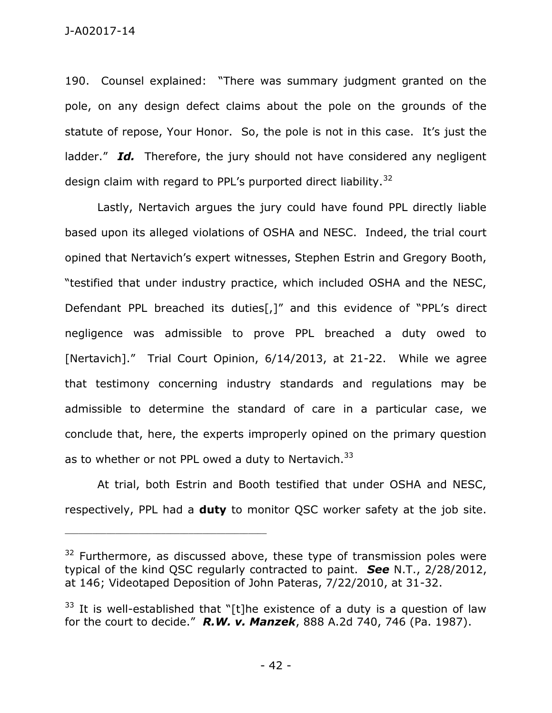190. Counsel explained: "There was summary judgment granted on the pole, on any design defect claims about the pole on the grounds of the statute of repose, Your Honor. So, the pole is not in this case. It's just the ladder." *Id.* Therefore, the jury should not have considered any negligent design claim with regard to PPL's purported direct liability.<sup>32</sup>

 Lastly, Nertavich argues the jury could have found PPL directly liable based upon its alleged violations of OSHA and NESC. Indeed, the trial court opined that Nertavich's expert witnesses, Stephen Estrin and Gregory Booth, "testified that under industry practice, which included OSHA and the NESC, Defendant PPL breached its duties[,]" and this evidence of "PPL's direct negligence was admissible to prove PPL breached a duty owed to [Nertavich]." Trial Court Opinion, 6/14/2013, at 21-22. While we agree that testimony concerning industry standards and regulations may be admissible to determine the standard of care in a particular case, we conclude that, here, the experts improperly opined on the primary question as to whether or not PPL owed a duty to Nertavich.<sup>33</sup>

 At trial, both Estrin and Booth testified that under OSHA and NESC, respectively, PPL had a **duty** to monitor QSC worker safety at the job site.

 $32$  Furthermore, as discussed above, these type of transmission poles were typical of the kind QSC regularly contracted to paint. *See* N.T., 2/28/2012, at 146; Videotaped Deposition of John Pateras, 7/22/2010, at 31-32.

 $33$  It is well-established that "[t]he existence of a duty is a question of law for the court to decide." *R.W. v. Manzek*, 888 A.2d 740, 746 (Pa. 1987).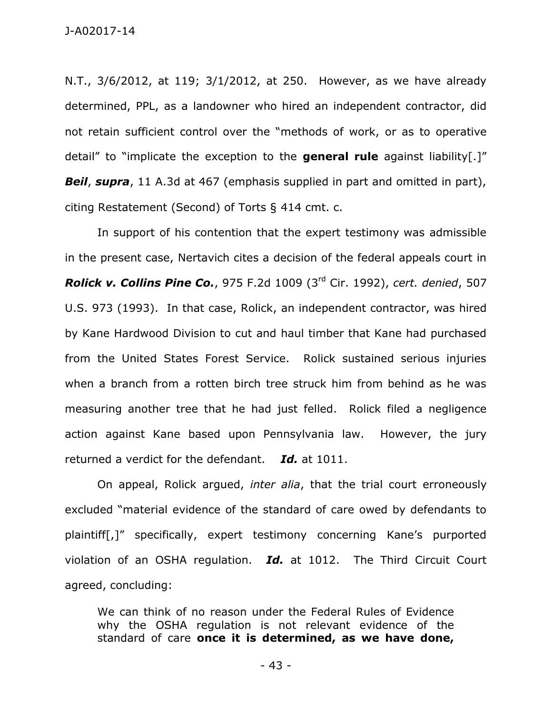N.T., 3/6/2012, at 119; 3/1/2012, at 250. However, as we have already determined, PPL, as a landowner who hired an independent contractor, did not retain sufficient control over the "methods of work, or as to operative detail" to "implicate the exception to the **general rule** against liability[.]" **Beil, supra**, 11 A.3d at 467 (emphasis supplied in part and omitted in part), citing Restatement (Second) of Torts § 414 cmt. c.

 In support of his contention that the expert testimony was admissible in the present case, Nertavich cites a decision of the federal appeals court in *Rolick v. Collins Pine Co.*, 975 F.2d 1009 (3rd Cir. 1992), *cert. denied*, 507 U.S. 973 (1993). In that case, Rolick, an independent contractor, was hired by Kane Hardwood Division to cut and haul timber that Kane had purchased from the United States Forest Service. Rolick sustained serious injuries when a branch from a rotten birch tree struck him from behind as he was measuring another tree that he had just felled. Rolick filed a negligence action against Kane based upon Pennsylvania law. However, the jury returned a verdict for the defendant. *Id.* at 1011.

 On appeal, Rolick argued, *inter alia*, that the trial court erroneously excluded "material evidence of the standard of care owed by defendants to plaintiff[,]" specifically, expert testimony concerning Kane's purported violation of an OSHA regulation. *Id.* at 1012. The Third Circuit Court agreed, concluding:

We can think of no reason under the Federal Rules of Evidence why the OSHA regulation is not relevant evidence of the standard of care **once it is determined, as we have done,**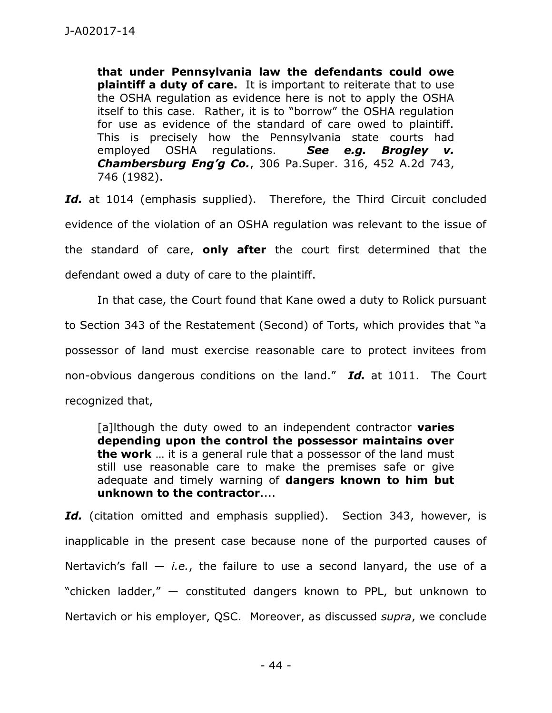**that under Pennsylvania law the defendants could owe plaintiff a duty of care.** It is important to reiterate that to use the OSHA regulation as evidence here is not to apply the OSHA itself to this case. Rather, it is to "borrow" the OSHA regulation for use as evidence of the standard of care owed to plaintiff. This is precisely how the Pennsylvania state courts had employed OSHA regulations. *See e.g. Brogley v. Chambersburg Eng'g Co.*, 306 Pa.Super. 316, 452 A.2d 743, 746 (1982).

Id. at 1014 (emphasis supplied). Therefore, the Third Circuit concluded evidence of the violation of an OSHA regulation was relevant to the issue of the standard of care, **only after** the court first determined that the defendant owed a duty of care to the plaintiff.

In that case, the Court found that Kane owed a duty to Rolick pursuant to Section 343 of the Restatement (Second) of Torts, which provides that "a possessor of land must exercise reasonable care to protect invitees from non-obvious dangerous conditions on the land." *Id.* at 1011. The Court recognized that,

[a]lthough the duty owed to an independent contractor **varies depending upon the control the possessor maintains over the work** … it is a general rule that a possessor of the land must still use reasonable care to make the premises safe or give adequate and timely warning of **dangers known to him but unknown to the contractor**....

Id. (citation omitted and emphasis supplied). Section 343, however, is inapplicable in the present case because none of the purported causes of Nertavich's fall — *i.e.*, the failure to use a second lanyard, the use of a "chicken ladder," — constituted dangers known to PPL, but unknown to Nertavich or his employer, QSC. Moreover, as discussed *supra*, we conclude